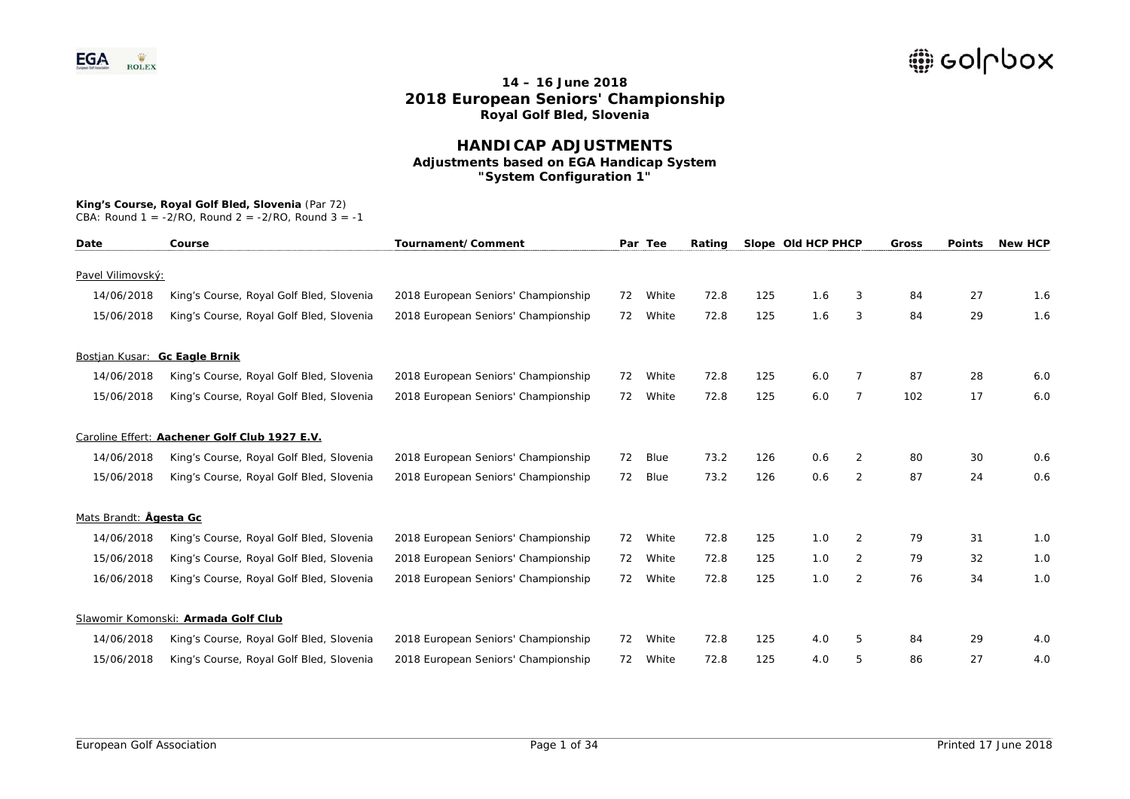### **HANDICAP ADJUSTMENTS Adjustments based on EGA Handicap System "System Configuration 1"**

#### **King's Course, Royal Golf Bled, Slovenia** (Par 72)

| Date                          | Course                                        | Tournament/Comment                  |    | Par Tee     | Rating |     | Slope Old HCP PHCP |                | Gross | <b>Points</b> | <b>New HCP</b> |
|-------------------------------|-----------------------------------------------|-------------------------------------|----|-------------|--------|-----|--------------------|----------------|-------|---------------|----------------|
| Pavel Vilimovský:             |                                               |                                     |    |             |        |     |                    |                |       |               |                |
| 14/06/2018                    | King's Course, Royal Golf Bled, Slovenia      | 2018 European Seniors' Championship | 72 | White       | 72.8   | 125 | 1.6                | 3              | 84    | 27            | 1.6            |
| 15/06/2018                    | King's Course, Royal Golf Bled, Slovenia      | 2018 European Seniors' Championship | 72 | White       | 72.8   | 125 | 1.6                | 3              | 84    | 29            | 1.6            |
| Bostjan Kusar: Gc Eagle Brnik |                                               |                                     |    |             |        |     |                    |                |       |               |                |
| 14/06/2018                    | King's Course, Royal Golf Bled, Slovenia      | 2018 European Seniors' Championship | 72 | White       | 72.8   | 125 | 6.0                | 7              | 87    | 28            | 6.0            |
| 15/06/2018                    | King's Course, Royal Golf Bled, Slovenia      | 2018 European Seniors' Championship | 72 | White       | 72.8   | 125 | 6.0                | 7              | 102   | 17            | 6.0            |
|                               | Caroline Effert: Aachener Golf Club 1927 E.V. |                                     |    |             |        |     |                    |                |       |               |                |
| 14/06/2018                    | King's Course, Royal Golf Bled, Slovenia      | 2018 European Seniors' Championship | 72 | <b>Blue</b> | 73.2   | 126 | 0.6                | $\overline{2}$ | 80    | 30            | 0.6            |
| 15/06/2018                    | King's Course, Royal Golf Bled, Slovenia      | 2018 European Seniors' Championship | 72 | Blue        | 73.2   | 126 | 0.6                | 2              | 87    | 24            | 0.6            |
| Mats Brandt: Ågesta Gc        |                                               |                                     |    |             |        |     |                    |                |       |               |                |
| 14/06/2018                    | King's Course, Royal Golf Bled, Slovenia      | 2018 European Seniors' Championship | 72 | White       | 72.8   | 125 | 1.0                | 2              | 79    | 31            | 1.0            |
| 15/06/2018                    | King's Course, Royal Golf Bled, Slovenia      | 2018 European Seniors' Championship | 72 | White       | 72.8   | 125 | 1.0                | $\overline{2}$ | 79    | 32            | 1.0            |
| 16/06/2018                    | King's Course, Royal Golf Bled, Slovenia      | 2018 European Seniors' Championship | 72 | White       | 72.8   | 125 | 1.0                | $\overline{2}$ | 76    | 34            | 1.0            |
|                               | Slawomir Komonski: Armada Golf Club           |                                     |    |             |        |     |                    |                |       |               |                |
| 14/06/2018                    | King's Course, Royal Golf Bled, Slovenia      | 2018 European Seniors' Championship | 72 | White       | 72.8   | 125 | 4.0                | 5              | 84    | 29            | 4.0            |
| 15/06/2018                    | King's Course, Royal Golf Bled, Slovenia      | 2018 European Seniors' Championship | 72 | White       | 72.8   | 125 | 4.0                | 5              | 86    | 27            | 4.0            |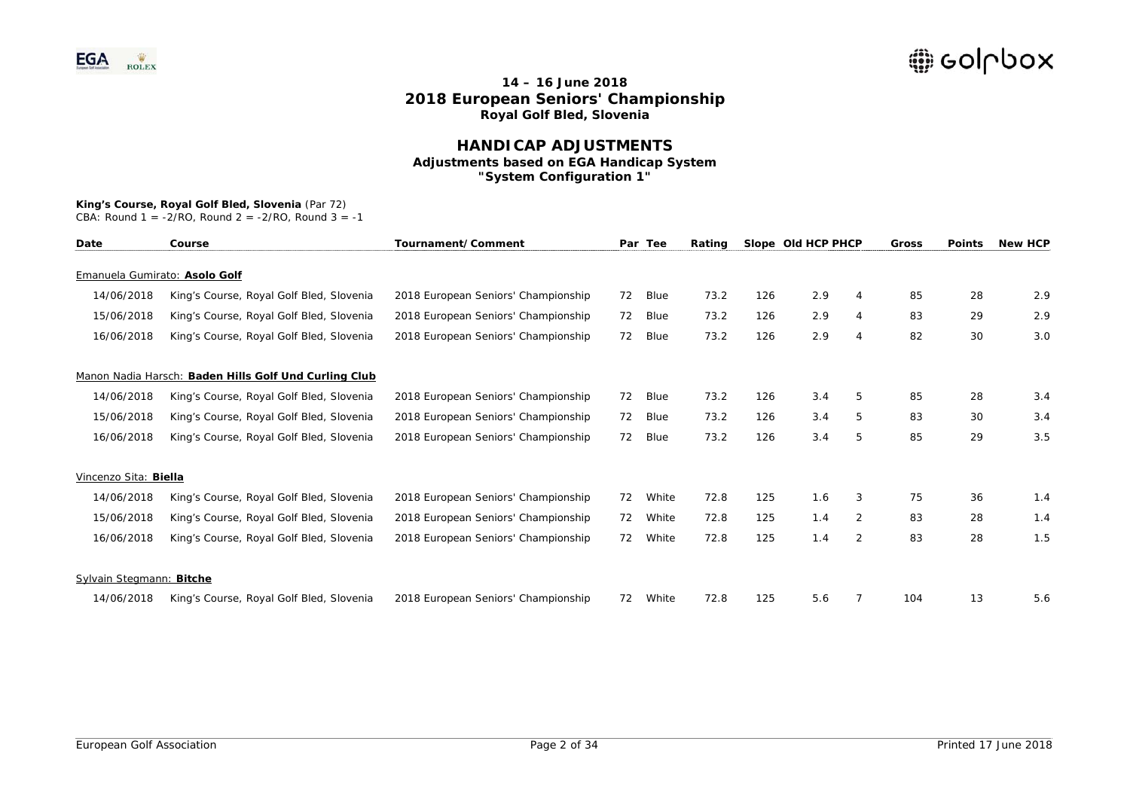### **HANDICAP ADJUSTMENTS Adjustments based on EGA Handicap System "System Configuration 1"**

# **King's Course, Royal Golf Bled, Slovenia** (Par 72)

| Date                          | Course                                                | Tournament/Comment                  |    | Par Tee | Rating |     | Slope Old HCP PHCP |   | Gross | <b>Points</b> | <b>New HCP</b> |
|-------------------------------|-------------------------------------------------------|-------------------------------------|----|---------|--------|-----|--------------------|---|-------|---------------|----------------|
|                               |                                                       |                                     |    |         |        |     |                    |   |       |               |                |
| Emanuela Gumirato: Asolo Golf |                                                       |                                     |    |         |        |     |                    |   |       |               |                |
| 14/06/2018                    | King's Course, Royal Golf Bled, Slovenia              | 2018 European Seniors' Championship | 72 | Blue    | 73.2   | 126 | 2.9                | 4 | 85    | 28            | 2.9            |
| 15/06/2018                    | King's Course, Royal Golf Bled, Slovenia              | 2018 European Seniors' Championship | 72 | Blue    | 73.2   | 126 | 2.9                | 4 | 83    | 29            | 2.9            |
| 16/06/2018                    | King's Course, Royal Golf Bled, Slovenia              | 2018 European Seniors' Championship | 72 | Blue    | 73.2   | 126 | 2.9                | 4 | 82    | 30            | 3.0            |
|                               | Manon Nadia Harsch: Baden Hills Golf Und Curling Club |                                     |    |         |        |     |                    |   |       |               |                |
| 14/06/2018                    | King's Course, Royal Golf Bled, Slovenia              | 2018 European Seniors' Championship | 72 | Blue    | 73.2   | 126 | 3.4                | 5 | 85    | 28            | 3.4            |
| 15/06/2018                    | King's Course, Royal Golf Bled, Slovenia              | 2018 European Seniors' Championship | 72 | Blue    | 73.2   | 126 | 3.4                | 5 | 83    | 30            | 3.4            |
| 16/06/2018                    | King's Course, Royal Golf Bled, Slovenia              | 2018 European Seniors' Championship | 72 | Blue    | 73.2   | 126 | 3.4                | 5 | 85    | 29            | 3.5            |
| Vincenzo Sita: Biella         |                                                       |                                     |    |         |        |     |                    |   |       |               |                |
| 14/06/2018                    | King's Course, Royal Golf Bled, Slovenia              | 2018 European Seniors' Championship | 72 | White   | 72.8   | 125 | 1.6                | 3 | 75    | 36            | 1.4            |
| 15/06/2018                    | King's Course, Royal Golf Bled, Slovenia              | 2018 European Seniors' Championship | 72 | White   | 72.8   | 125 | 1.4                | 2 | 83    | 28            | 1.4            |
| 16/06/2018                    | King's Course, Royal Golf Bled, Slovenia              | 2018 European Seniors' Championship | 72 | White   | 72.8   | 125 | 1.4                | 2 | 83    | 28            | 1.5            |
| Sylvain Stegmann: Bitche      |                                                       |                                     |    |         |        |     |                    |   |       |               |                |
| 14/06/2018                    | King's Course, Royal Golf Bled, Slovenia              | 2018 European Seniors' Championship | 72 | White   | 72.8   | 125 | 5.6                |   | 104   | 13            | 5.6            |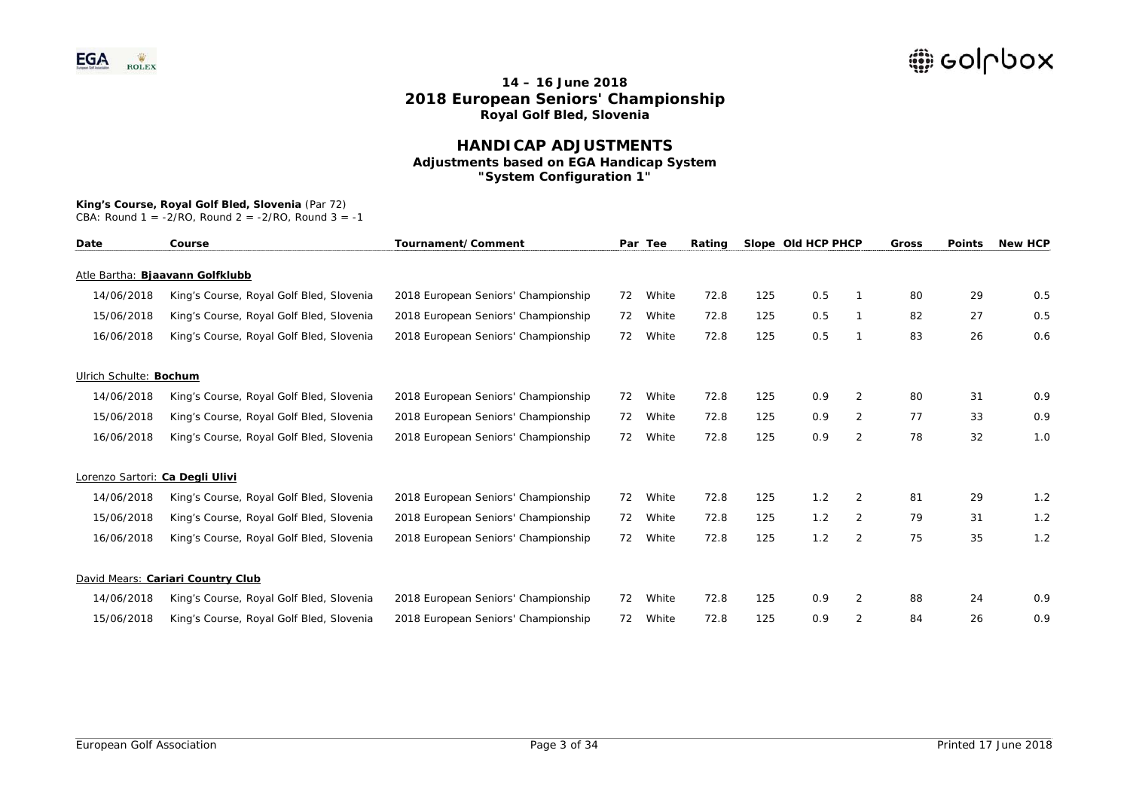### **HANDICAP ADJUSTMENTS Adjustments based on EGA Handicap System "System Configuration 1"**

# **King's Course, Royal Golf Bled, Slovenia** (Par 72)

| Date                            | Course                                   | Tournament/Comment                  |    | Par Tee | Rating |     | Slope Old HCP PHCP |                | Gross | <b>Points</b> | <b>New HCP</b> |
|---------------------------------|------------------------------------------|-------------------------------------|----|---------|--------|-----|--------------------|----------------|-------|---------------|----------------|
|                                 | Atle Bartha: Bjaavann Golfklubb          |                                     |    |         |        |     |                    |                |       |               |                |
| 14/06/2018                      | King's Course, Royal Golf Bled, Slovenia | 2018 European Seniors' Championship | 72 | White   | 72.8   | 125 | 0.5                |                | 80    | 29            | 0.5            |
| 15/06/2018                      | King's Course, Royal Golf Bled, Slovenia | 2018 European Seniors' Championship | 72 | White   | 72.8   | 125 | 0.5                |                | 82    | 27            | 0.5            |
| 16/06/2018                      | King's Course, Royal Golf Bled, Slovenia | 2018 European Seniors' Championship | 72 | White   | 72.8   | 125 | 0.5                | -1             | 83    | 26            | 0.6            |
| Ulrich Schulte: Bochum          |                                          |                                     |    |         |        |     |                    |                |       |               |                |
| 14/06/2018                      | King's Course, Royal Golf Bled, Slovenia | 2018 European Seniors' Championship | 72 | White   | 72.8   | 125 | 0.9                | 2              | 80    | 31            | 0.9            |
| 15/06/2018                      | King's Course, Royal Golf Bled, Slovenia | 2018 European Seniors' Championship | 72 | White   | 72.8   | 125 | 0.9                | 2              | 77    | 33            | 0.9            |
| 16/06/2018                      | King's Course, Royal Golf Bled, Slovenia | 2018 European Seniors' Championship | 72 | White   | 72.8   | 125 | 0.9                | $\overline{2}$ | 78    | 32            | 1.0            |
| Lorenzo Sartori: Ca Degli Ulivi |                                          |                                     |    |         |        |     |                    |                |       |               |                |
| 14/06/2018                      | King's Course, Royal Golf Bled, Slovenia | 2018 European Seniors' Championship | 72 | White   | 72.8   | 125 | 1.2                | 2              | 81    | 29            | 1.2            |
| 15/06/2018                      | King's Course, Royal Golf Bled, Slovenia | 2018 European Seniors' Championship | 72 | White   | 72.8   | 125 | 1.2                | $\overline{2}$ | 79    | 31            | 1.2            |
| 16/06/2018                      | King's Course, Royal Golf Bled, Slovenia | 2018 European Seniors' Championship | 72 | White   | 72.8   | 125 | 1.2                | 2              | 75    | 35            | 1.2            |
|                                 | David Mears: Cariari Country Club        |                                     |    |         |        |     |                    |                |       |               |                |
| 14/06/2018                      | King's Course, Royal Golf Bled, Slovenia | 2018 European Seniors' Championship | 72 | White   | 72.8   | 125 | 0.9                | 2              | 88    | 24            | 0.9            |
| 15/06/2018                      | King's Course, Royal Golf Bled, Slovenia | 2018 European Seniors' Championship | 72 | White   | 72.8   | 125 | 0.9                | $\overline{2}$ | 84    | 26            | 0.9            |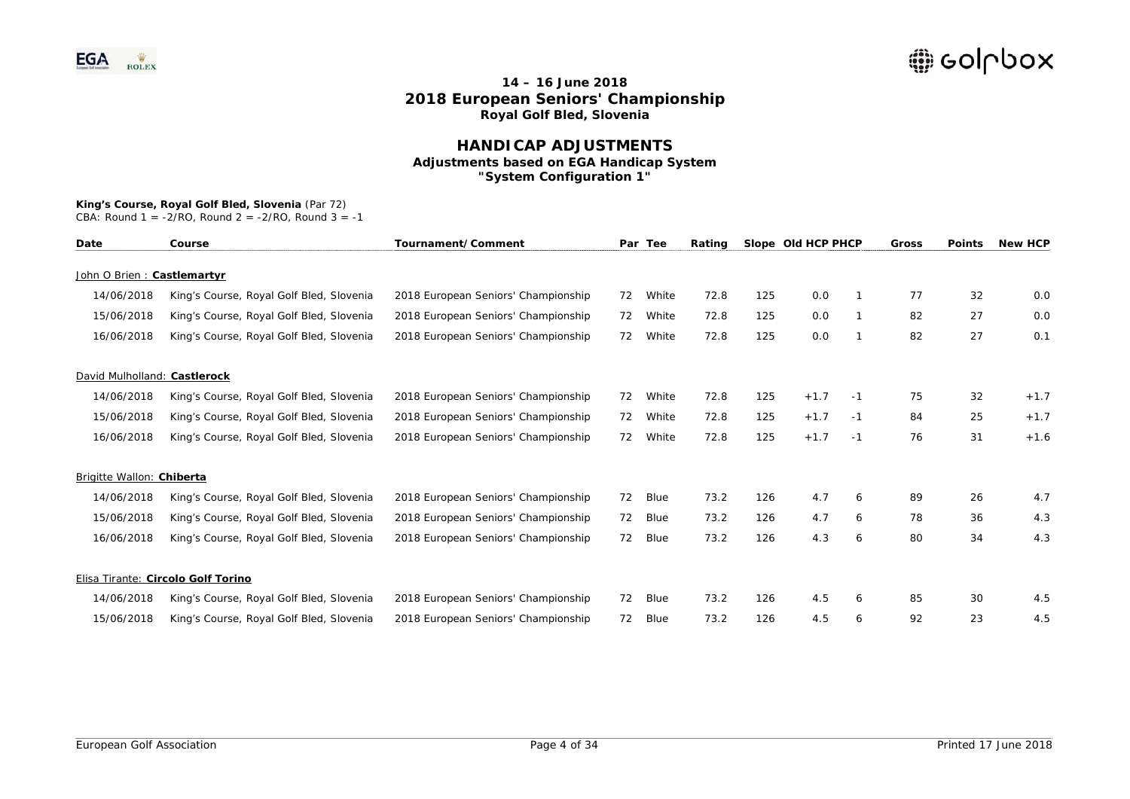### **HANDICAP ADJUSTMENTS Adjustments based on EGA Handicap System "System Configuration 1"**

# **King's Course, Royal Golf Bled, Slovenia** (Par 72)

| Date                         | Course                                   | Tournament/Comment                  |    | Par Tee | Rating |     | Slope Old HCP PHCP |      | Gross | <b>Points</b> | <b>New HCP</b> |
|------------------------------|------------------------------------------|-------------------------------------|----|---------|--------|-----|--------------------|------|-------|---------------|----------------|
| John O Brien: Castlemartyr   |                                          |                                     |    |         |        |     |                    |      |       |               |                |
| 14/06/2018                   | King's Course, Royal Golf Bled, Slovenia | 2018 European Seniors' Championship | 72 | White   | 72.8   | 125 | 0.0                |      | 77    | 32            | 0.0            |
| 15/06/2018                   | King's Course, Royal Golf Bled, Slovenia | 2018 European Seniors' Championship | 72 | White   | 72.8   | 125 | 0.0                |      | 82    | 27            | 0.0            |
| 16/06/2018                   | King's Course, Royal Golf Bled, Slovenia | 2018 European Seniors' Championship | 72 | White   | 72.8   | 125 | 0.0                |      | 82    | 27            | 0.1            |
| David Mulholland: Castlerock |                                          |                                     |    |         |        |     |                    |      |       |               |                |
| 14/06/2018                   | King's Course, Royal Golf Bled, Slovenia | 2018 European Seniors' Championship | 72 | White   | 72.8   | 125 | $+1.7$             | $-1$ | 75    | 32            | $+1.7$         |
| 15/06/2018                   | King's Course, Royal Golf Bled, Slovenia | 2018 European Seniors' Championship | 72 | White   | 72.8   | 125 | $+1.7$             | $-1$ | 84    | 25            | $+1.7$         |
| 16/06/2018                   | King's Course, Royal Golf Bled, Slovenia | 2018 European Seniors' Championship | 72 | White   | 72.8   | 125 | $+1.7$             | $-1$ | 76    | 31            | $+1.6$         |
| Brigitte Wallon: Chiberta    |                                          |                                     |    |         |        |     |                    |      |       |               |                |
| 14/06/2018                   | King's Course, Royal Golf Bled, Slovenia | 2018 European Seniors' Championship | 72 | Blue    | 73.2   | 126 | 4.7                | 6    | 89    | 26            | 4.7            |
| 15/06/2018                   | King's Course, Royal Golf Bled, Slovenia | 2018 European Seniors' Championship | 72 | Blue    | 73.2   | 126 | 4.7                | 6    | 78    | 36            | 4.3            |
| 16/06/2018                   | King's Course, Royal Golf Bled, Slovenia | 2018 European Seniors' Championship | 72 | Blue    | 73.2   | 126 | 4.3                | 6    | 80    | 34            | 4.3            |
|                              | Elisa Tirante: Circolo Golf Torino       |                                     |    |         |        |     |                    |      |       |               |                |
| 14/06/2018                   | King's Course, Royal Golf Bled, Slovenia | 2018 European Seniors' Championship | 72 | Blue    | 73.2   | 126 | 4.5                | 6    | 85    | 30            | 4.5            |
| 15/06/2018                   | King's Course, Royal Golf Bled, Slovenia | 2018 European Seniors' Championship | 72 | Blue    | 73.2   | 126 | 4.5                | 6    | 92    | 23            | 4.5            |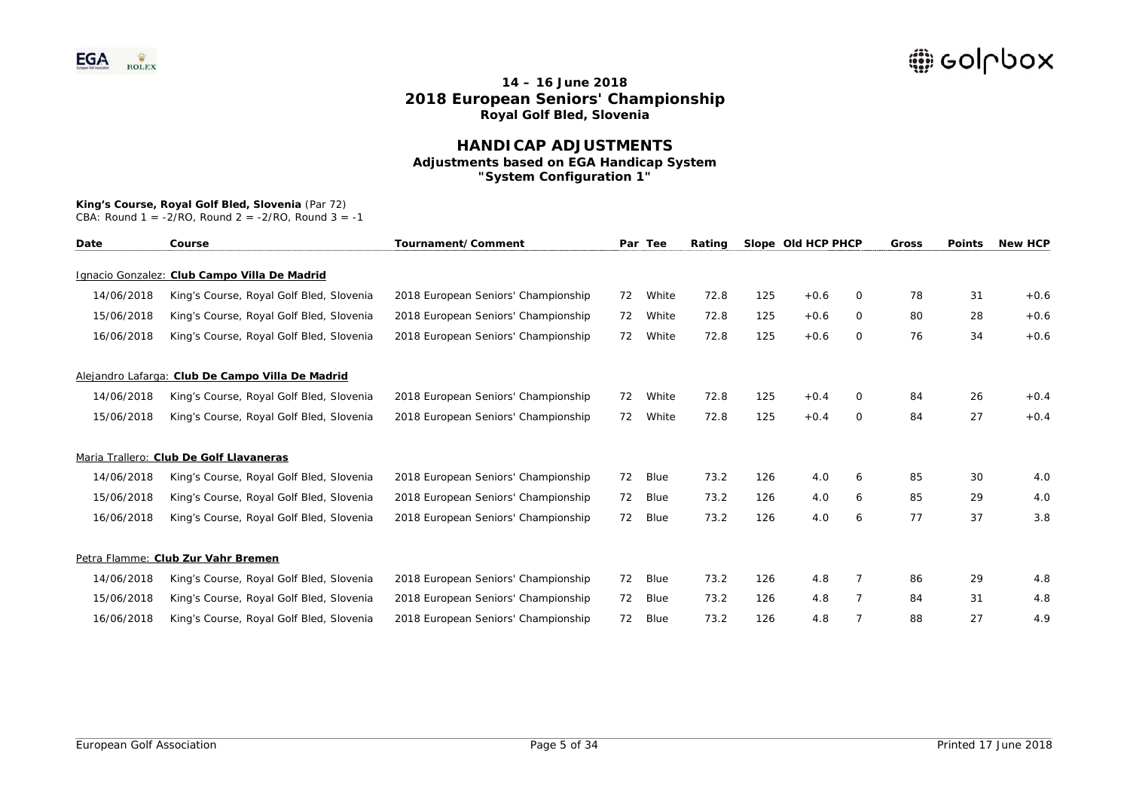### **HANDICAP ADJUSTMENTS Adjustments based on EGA Handicap System "System Configuration 1"**

## **King's Course, Royal Golf Bled, Slovenia** (Par 72)

| Date       | Course                                           | Tournament/Comment                  |    | Par Tee | Rating |     | Slope Old HCP PHCP |          | Gross | <b>Points</b> | <b>New HCP</b> |
|------------|--------------------------------------------------|-------------------------------------|----|---------|--------|-----|--------------------|----------|-------|---------------|----------------|
|            | Ignacio Gonzalez: Club Campo Villa De Madrid     |                                     |    |         |        |     |                    |          |       |               |                |
| 14/06/2018 | King's Course, Royal Golf Bled, Slovenia         | 2018 European Seniors' Championship | 72 | White   | 72.8   | 125 | $+0.6$             | $\Omega$ | 78    | 31            | $+0.6$         |
| 15/06/2018 | King's Course, Royal Golf Bled, Slovenia         | 2018 European Seniors' Championship | 72 | White   | 72.8   | 125 | $+0.6$             | $\circ$  | 80    | 28            | $+0.6$         |
| 16/06/2018 | King's Course, Royal Golf Bled, Slovenia         | 2018 European Seniors' Championship | 72 | White   | 72.8   | 125 | $+0.6$             | $\circ$  | 76    | 34            | $+0.6$         |
|            | Alejandro Lafarga: Club De Campo Villa De Madrid |                                     |    |         |        |     |                    |          |       |               |                |
| 14/06/2018 | King's Course, Royal Golf Bled, Slovenia         | 2018 European Seniors' Championship | 72 | White   | 72.8   | 125 | $+0.4$             | 0        | 84    | 26            | $+0.4$         |
| 15/06/2018 | King's Course, Royal Golf Bled, Slovenia         | 2018 European Seniors' Championship | 72 | White   | 72.8   | 125 | $+0.4$             | $\circ$  | 84    | 27            | $+0.4$         |
|            | Maria Trallero: Club De Golf Llavaneras          |                                     |    |         |        |     |                    |          |       |               |                |
| 14/06/2018 | King's Course, Royal Golf Bled, Slovenia         | 2018 European Seniors' Championship | 72 | Blue    | 73.2   | 126 | 4.0                | 6        | 85    | 30            | 4.0            |
| 15/06/2018 | King's Course, Royal Golf Bled, Slovenia         | 2018 European Seniors' Championship | 72 | Blue    | 73.2   | 126 | 4.0                | 6        | 85    | 29            | 4.0            |
| 16/06/2018 | King's Course, Royal Golf Bled, Slovenia         | 2018 European Seniors' Championship | 72 | Blue    | 73.2   | 126 | 4.0                | 6        | 77    | 37            | 3.8            |
|            | Petra Flamme: Club Zur Vahr Bremen               |                                     |    |         |        |     |                    |          |       |               |                |
| 14/06/2018 | King's Course, Royal Golf Bled, Slovenia         | 2018 European Seniors' Championship | 72 | Blue    | 73.2   | 126 | 4.8                | 7        | 86    | 29            | 4.8            |
| 15/06/2018 | King's Course, Royal Golf Bled, Slovenia         | 2018 European Seniors' Championship | 72 | Blue    | 73.2   | 126 | 4.8                |          | 84    | 31            | 4.8            |
| 16/06/2018 | King's Course, Royal Golf Bled, Slovenia         | 2018 European Seniors' Championship | 72 | Blue    | 73.2   | 126 | 4.8                |          | 88    | 27            | 4.9            |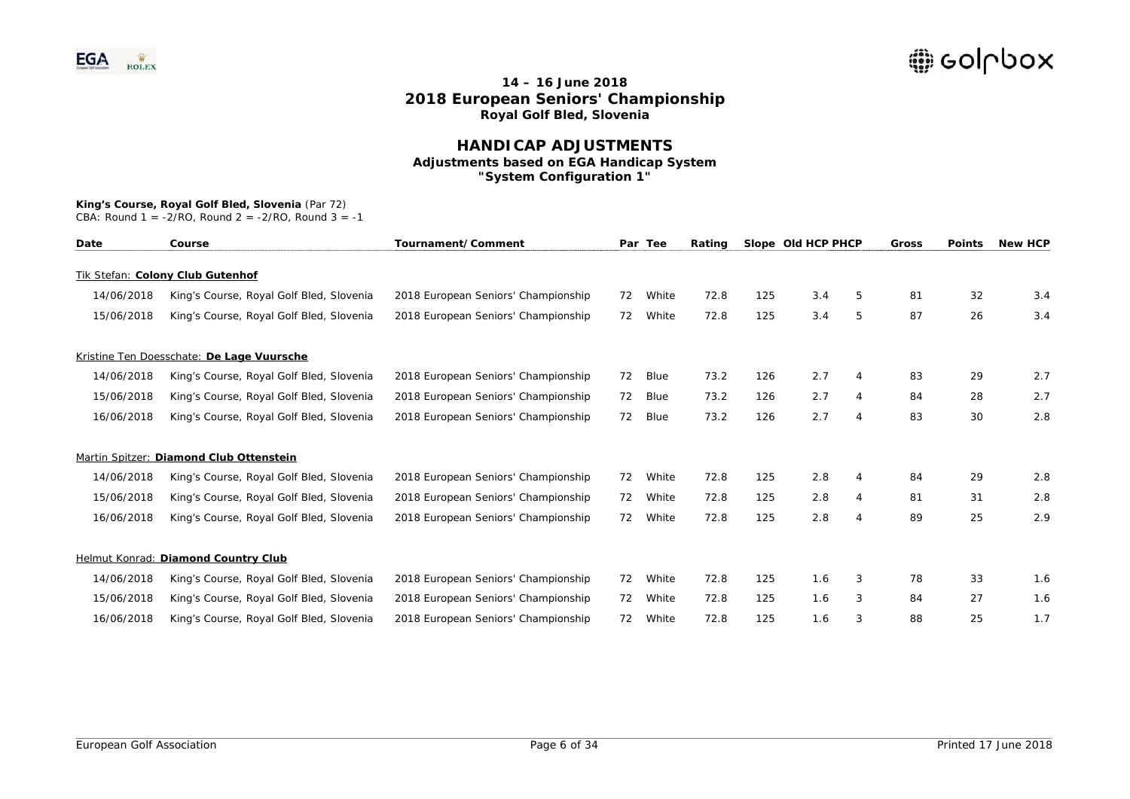### **HANDICAP ADJUSTMENTS Adjustments based on EGA Handicap System "System Configuration 1"**

#### **King's Course, Royal Golf Bled, Slovenia** (Par 72)

| Date       | Course                                    | Tournament/Comment                  |    | Par Tee | Rating |     | Slope Old HCP PHCP |                | Gross | <b>Points</b> | <b>New HCP</b> |
|------------|-------------------------------------------|-------------------------------------|----|---------|--------|-----|--------------------|----------------|-------|---------------|----------------|
|            | Tik Stefan: Colony Club Gutenhof          |                                     |    |         |        |     |                    |                |       |               |                |
| 14/06/2018 | King's Course, Royal Golf Bled, Slovenia  | 2018 European Seniors' Championship | 72 | White   | 72.8   | 125 | 3.4                | 5              | 81    | 32            | 3.4            |
| 15/06/2018 | King's Course, Royal Golf Bled, Slovenia  | 2018 European Seniors' Championship | 72 | White   | 72.8   | 125 | 3.4                | 5              | 87    | 26            | 3.4            |
|            | Kristine Ten Doesschate: De Lage Vuursche |                                     |    |         |        |     |                    |                |       |               |                |
| 14/06/2018 | King's Course, Royal Golf Bled, Slovenia  | 2018 European Seniors' Championship | 72 | Blue    | 73.2   | 126 | 2.7                | 4              | 83    | 29            | 2.7            |
| 15/06/2018 | King's Course, Royal Golf Bled, Slovenia  | 2018 European Seniors' Championship | 72 | Blue    | 73.2   | 126 | 2.7                | 4              | 84    | 28            | 2.7            |
| 16/06/2018 | King's Course, Royal Golf Bled, Slovenia  | 2018 European Seniors' Championship | 72 | Blue    | 73.2   | 126 | 2.7                | 4              | 83    | 30            | 2.8            |
|            | Martin Spitzer: Diamond Club Ottenstein   |                                     |    |         |        |     |                    |                |       |               |                |
| 14/06/2018 | King's Course, Royal Golf Bled, Slovenia  | 2018 European Seniors' Championship | 72 | White   | 72.8   | 125 | 2.8                | 4              | 84    | 29            | 2.8            |
| 15/06/2018 | King's Course, Royal Golf Bled, Slovenia  | 2018 European Seniors' Championship | 72 | White   | 72.8   | 125 | 2.8                | 4              | 81    | 31            | 2.8            |
| 16/06/2018 | King's Course, Royal Golf Bled, Slovenia  | 2018 European Seniors' Championship | 72 | White   | 72.8   | 125 | 2.8                | $\overline{4}$ | 89    | 25            | 2.9            |
|            | Helmut Konrad: Diamond Country Club       |                                     |    |         |        |     |                    |                |       |               |                |
| 14/06/2018 | King's Course, Royal Golf Bled, Slovenia  | 2018 European Seniors' Championship | 72 | White   | 72.8   | 125 | 1.6                | 3              | 78    | 33            | 1.6            |
| 15/06/2018 | King's Course, Royal Golf Bled, Slovenia  | 2018 European Seniors' Championship | 72 | White   | 72.8   | 125 | 1.6                | 3              | 84    | 27            | 1.6            |
| 16/06/2018 | King's Course, Royal Golf Bled, Slovenia  | 2018 European Seniors' Championship | 72 | White   | 72.8   | 125 | 1.6                |                | 88    | 25            | 1.7            |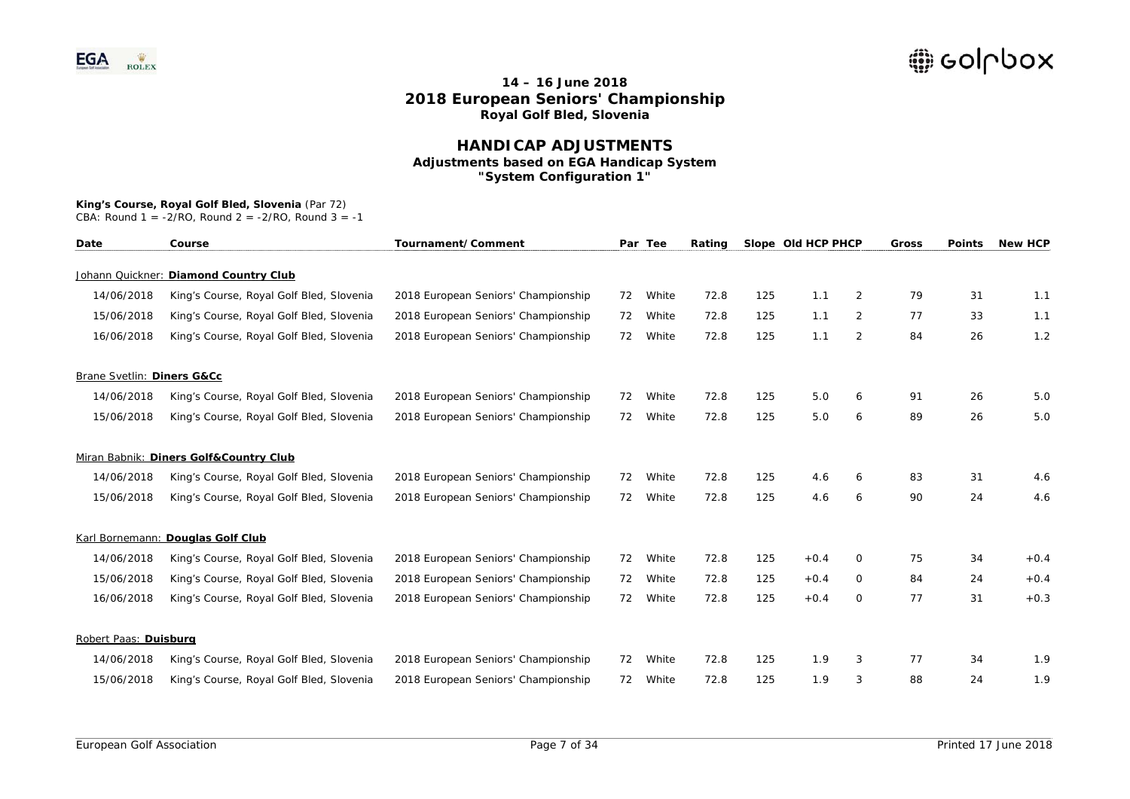### **HANDICAP ADJUSTMENTS Adjustments based on EGA Handicap System "System Configuration 1"**

## **King's Course, Royal Golf Bled, Slovenia** (Par 72)

| Date                       | Course                                   | Tournament/Comment                  |    | Par Tee | Rating |     | Slope Old HCP PHCP |                | Gross | <b>Points</b> | <b>New HCP</b> |
|----------------------------|------------------------------------------|-------------------------------------|----|---------|--------|-----|--------------------|----------------|-------|---------------|----------------|
|                            | Johann Quickner: Diamond Country Club    |                                     |    |         |        |     |                    |                |       |               |                |
| 14/06/2018                 | King's Course, Royal Golf Bled, Slovenia | 2018 European Seniors' Championship | 72 | White   | 72.8   | 125 | 1.1                | $\overline{2}$ | 79    | 31            | 1.1            |
| 15/06/2018                 | King's Course, Royal Golf Bled, Slovenia | 2018 European Seniors' Championship | 72 | White   | 72.8   | 125 | 1.1                | $\overline{2}$ | 77    | 33            | 1.1            |
| 16/06/2018                 | King's Course, Royal Golf Bled, Slovenia | 2018 European Seniors' Championship | 72 | White   | 72.8   | 125 | 1.1                | 2              | 84    | 26            | 1.2            |
| Brane Svetlin: Diners G&Cc |                                          |                                     |    |         |        |     |                    |                |       |               |                |
| 14/06/2018                 | King's Course, Royal Golf Bled, Slovenia | 2018 European Seniors' Championship | 72 | White   | 72.8   | 125 | 5.0                | 6              | 91    | 26            | 5.0            |
| 15/06/2018                 | King's Course, Royal Golf Bled, Slovenia | 2018 European Seniors' Championship | 72 | White   | 72.8   | 125 | 5.0                | 6              | 89    | 26            | 5.0            |
|                            | Miran Babnik: Diners Golf&Country Club   |                                     |    |         |        |     |                    |                |       |               |                |
| 14/06/2018                 | King's Course, Royal Golf Bled, Slovenia | 2018 European Seniors' Championship | 72 | White   | 72.8   | 125 | 4.6                | 6              | 83    | 31            | 4.6            |
| 15/06/2018                 | King's Course, Royal Golf Bled, Slovenia | 2018 European Seniors' Championship | 72 | White   | 72.8   | 125 | 4.6                | 6              | 90    | 24            | 4.6            |
|                            | Karl Bornemann: Douglas Golf Club        |                                     |    |         |        |     |                    |                |       |               |                |
| 14/06/2018                 | King's Course, Royal Golf Bled, Slovenia | 2018 European Seniors' Championship | 72 | White   | 72.8   | 125 | $+0.4$             | 0              | 75    | 34            | $+0.4$         |
| 15/06/2018                 | King's Course, Royal Golf Bled, Slovenia | 2018 European Seniors' Championship | 72 | White   | 72.8   | 125 | $+0.4$             | 0              | 84    | 24            | $+0.4$         |
| 16/06/2018                 | King's Course, Royal Golf Bled, Slovenia | 2018 European Seniors' Championship | 72 | White   | 72.8   | 125 | $+0.4$             | 0              | 77    | 31            | $+0.3$         |
| Robert Paas: Duisburg      |                                          |                                     |    |         |        |     |                    |                |       |               |                |
| 14/06/2018                 | King's Course, Royal Golf Bled, Slovenia | 2018 European Seniors' Championship | 72 | White   | 72.8   | 125 | 1.9                | 3              | 77    | 34            | 1.9            |
| 15/06/2018                 | King's Course, Royal Golf Bled, Slovenia | 2018 European Seniors' Championship | 72 | White   | 72.8   | 125 | 1.9                | 3              | 88    | 24            | 1.9            |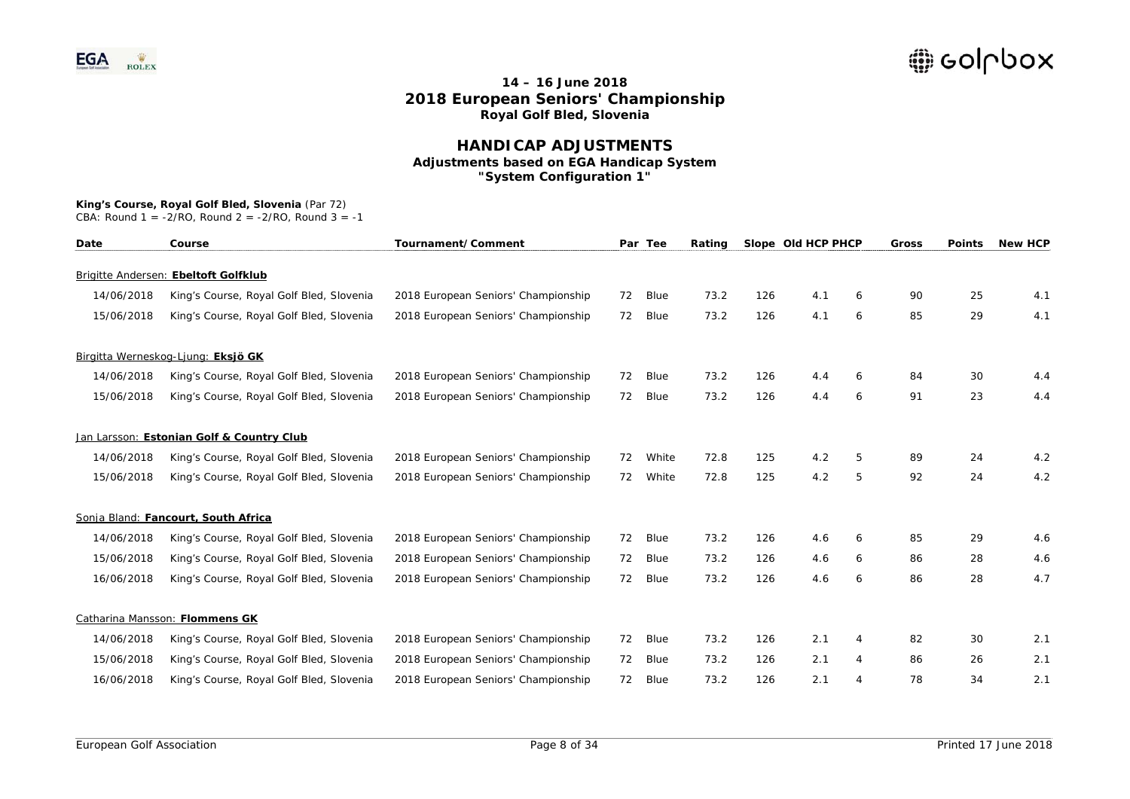### **HANDICAP ADJUSTMENTS Adjustments based on EGA Handicap System "System Configuration 1"**

#### **King's Course, Royal Golf Bled, Slovenia** (Par 72)

| Date       | Course                                    | Tournament/Comment                  |    | Par Tee | Rating |     | Slope Old HCP PHCP |   | Gross | <b>Points</b> | <b>New HCP</b> |
|------------|-------------------------------------------|-------------------------------------|----|---------|--------|-----|--------------------|---|-------|---------------|----------------|
|            | Brigitte Andersen: Ebeltoft Golfklub      |                                     |    |         |        |     |                    |   |       |               |                |
| 14/06/2018 | King's Course, Royal Golf Bled, Slovenia  | 2018 European Seniors' Championship | 72 | Blue    | 73.2   | 126 | 4.1                | 6 | 90    | 25            | 4.1            |
|            |                                           |                                     |    |         |        |     |                    |   |       |               |                |
| 15/06/2018 | King's Course, Royal Golf Bled, Slovenia  | 2018 European Seniors' Championship | 72 | Blue    | 73.2   | 126 | 4.1                | 6 | 85    | 29            | 4.1            |
|            | Birgitta Werneskog-Ljung: Eksjö GK        |                                     |    |         |        |     |                    |   |       |               |                |
| 14/06/2018 | King's Course, Royal Golf Bled, Slovenia  | 2018 European Seniors' Championship | 72 | Blue    | 73.2   | 126 | 4.4                | 6 | 84    | 30            | 4.4            |
| 15/06/2018 | King's Course, Royal Golf Bled, Slovenia  | 2018 European Seniors' Championship | 72 | Blue    | 73.2   | 126 | 4.4                | 6 | 91    | 23            | 4.4            |
|            | Jan Larsson: Estonian Golf & Country Club |                                     |    |         |        |     |                    |   |       |               |                |
| 14/06/2018 | King's Course, Royal Golf Bled, Slovenia  | 2018 European Seniors' Championship | 72 | White   | 72.8   | 125 | 4.2                | 5 | 89    | 24            | 4.2            |
| 15/06/2018 | King's Course, Royal Golf Bled, Slovenia  | 2018 European Seniors' Championship | 72 | White   | 72.8   | 125 | 4.2                | 5 | 92    | 24            | 4.2            |
|            | Sonja Bland: Fancourt, South Africa       |                                     |    |         |        |     |                    |   |       |               |                |
| 14/06/2018 | King's Course, Royal Golf Bled, Slovenia  | 2018 European Seniors' Championship | 72 | Blue    | 73.2   | 126 | 4.6                | 6 | 85    | 29            | 4.6            |
| 15/06/2018 | King's Course, Royal Golf Bled, Slovenia  | 2018 European Seniors' Championship | 72 | Blue    | 73.2   | 126 | 4.6                | 6 | 86    | 28            | 4.6            |
| 16/06/2018 | King's Course, Royal Golf Bled, Slovenia  | 2018 European Seniors' Championship | 72 | Blue    | 73.2   | 126 | 4.6                | 6 | 86    | 28            | 4.7            |
|            | Catharina Mansson: Flommens GK            |                                     |    |         |        |     |                    |   |       |               |                |
| 14/06/2018 | King's Course, Royal Golf Bled, Slovenia  | 2018 European Seniors' Championship | 72 | Blue    | 73.2   | 126 | 2.1                | 4 | 82    | 30            | 2.1            |
| 15/06/2018 | King's Course, Royal Golf Bled, Slovenia  | 2018 European Seniors' Championship | 72 | Blue    | 73.2   | 126 | 2.1                | 4 | 86    | 26            | 2.1            |
| 16/06/2018 | King's Course, Royal Golf Bled, Slovenia  | 2018 European Seniors' Championship | 72 | Blue    | 73.2   | 126 | 2.1                | 4 | 78    | 34            | 2.1            |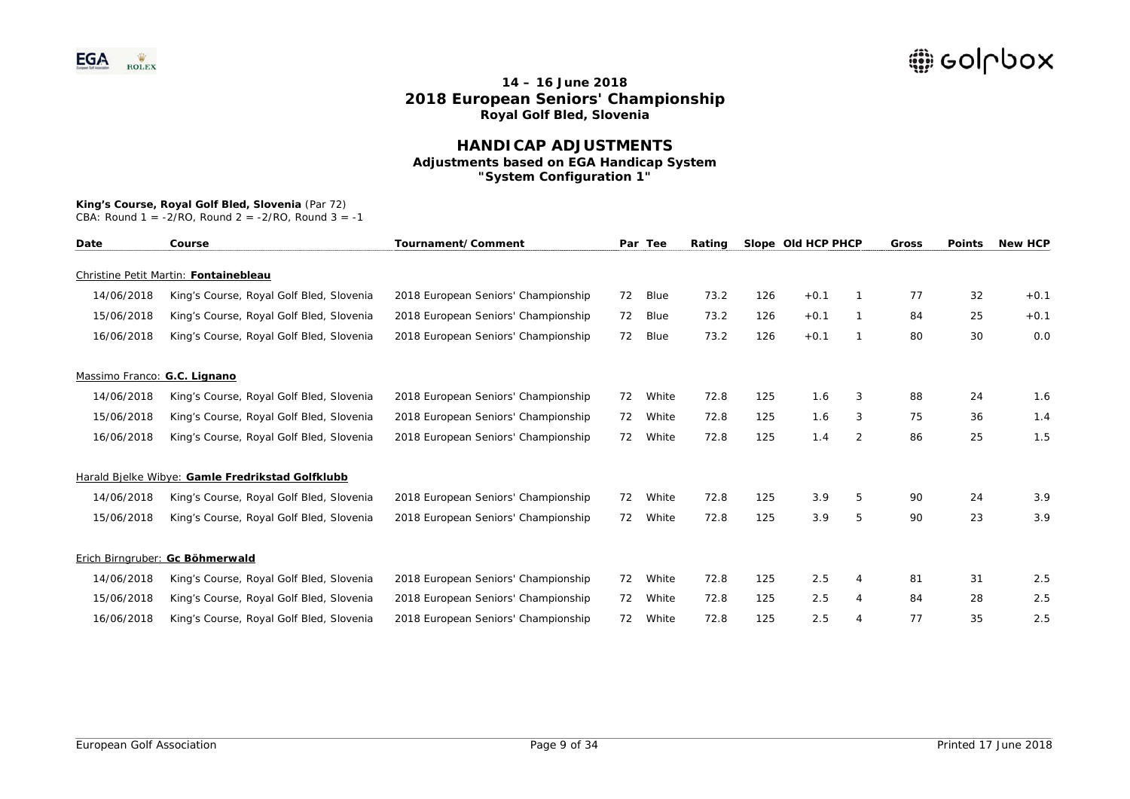### **HANDICAP ADJUSTMENTS Adjustments based on EGA Handicap System "System Configuration 1"**

# **King's Course, Royal Golf Bled, Slovenia** (Par 72)

| Date                         | Course                                           | Tournament/Comment                  | Par | Tee         | Rating |     | Slope Old HCP PHCP |   | <b>Gross</b> | <b>Points</b> | <b>New HCP</b> |
|------------------------------|--------------------------------------------------|-------------------------------------|-----|-------------|--------|-----|--------------------|---|--------------|---------------|----------------|
|                              | Christine Petit Martin: Fontainebleau            |                                     |     |             |        |     |                    |   |              |               |                |
| 14/06/2018                   | King's Course, Royal Golf Bled, Slovenia         | 2018 European Seniors' Championship | 72  | <b>Blue</b> | 73.2   | 126 | $+0.1$             |   | 77           | 32            | $+0.1$         |
| 15/06/2018                   | King's Course, Royal Golf Bled, Slovenia         | 2018 European Seniors' Championship | 72  | <b>Blue</b> | 73.2   | 126 | $+0.1$             |   | 84           | 25            | $+0.1$         |
| 16/06/2018                   | King's Course, Royal Golf Bled, Slovenia         | 2018 European Seniors' Championship | 72  | Blue        | 73.2   | 126 | $+0.1$             |   | 80           | 30            | 0.0            |
| Massimo Franco: G.C. Lignano |                                                  |                                     |     |             |        |     |                    |   |              |               |                |
| 14/06/2018                   | King's Course, Royal Golf Bled, Slovenia         | 2018 European Seniors' Championship | 72  | White       | 72.8   | 125 | 1.6                | 3 | 88           | 24            | 1.6            |
| 15/06/2018                   | King's Course, Royal Golf Bled, Slovenia         | 2018 European Seniors' Championship | 72  | White       | 72.8   | 125 | 1.6                | 3 | 75           | 36            | 1.4            |
| 16/06/2018                   | King's Course, Royal Golf Bled, Slovenia         | 2018 European Seniors' Championship | 72  | White       | 72.8   | 125 | 1.4                | 2 | 86           | 25            | 1.5            |
|                              | Harald Bielke Wibye: Gamle Fredrikstad Golfklubb |                                     |     |             |        |     |                    |   |              |               |                |
| 14/06/2018                   | King's Course, Royal Golf Bled, Slovenia         | 2018 European Seniors' Championship | 72  | White       | 72.8   | 125 | 3.9                | 5 | 90           | 24            | 3.9            |
| 15/06/2018                   | King's Course, Royal Golf Bled, Slovenia         | 2018 European Seniors' Championship | 72  | White       | 72.8   | 125 | 3.9                | 5 | 90           | 23            | 3.9            |
|                              | Erich Birngruber: Gc Böhmerwald                  |                                     |     |             |        |     |                    |   |              |               |                |
| 14/06/2018                   | King's Course, Royal Golf Bled, Slovenia         | 2018 European Seniors' Championship | 72  | White       | 72.8   | 125 | 2.5                | 4 | 81           | 31            | 2.5            |
| 15/06/2018                   | King's Course, Royal Golf Bled, Slovenia         | 2018 European Seniors' Championship | 72  | White       | 72.8   | 125 | 2.5                | 4 | 84           | 28            | 2.5            |
| 16/06/2018                   | King's Course, Royal Golf Bled, Slovenia         | 2018 European Seniors' Championship | 72  | White       | 72.8   | 125 | 2.5                |   | 77           | 35            | 2.5            |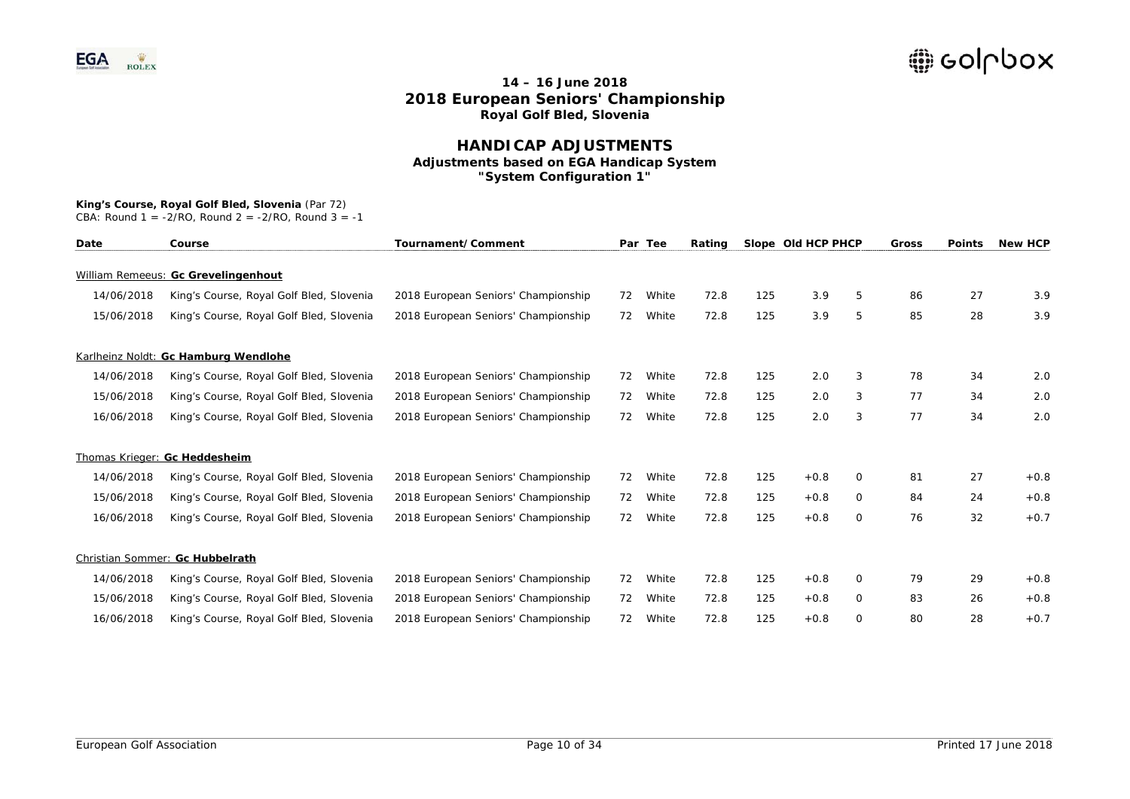### **HANDICAP ADJUSTMENTS Adjustments based on EGA Handicap System "System Configuration 1"**

#### **King's Course, Royal Golf Bled, Slovenia** (Par 72)

| Date       | Course                                   | Tournament/Comment                  |    | Par Tee | Rating |     | Slope Old HCP PHCP |          | <b>Gross</b> | <b>Points</b> | <b>New HCP</b> |
|------------|------------------------------------------|-------------------------------------|----|---------|--------|-----|--------------------|----------|--------------|---------------|----------------|
|            | William Remeeus: Gc Grevelingenhout      |                                     |    |         |        |     |                    |          |              |               |                |
| 14/06/2018 | King's Course, Royal Golf Bled, Slovenia | 2018 European Seniors' Championship | 72 | White   | 72.8   | 125 | 3.9                | 5        | 86           | 27            | 3.9            |
| 15/06/2018 | King's Course, Royal Golf Bled, Slovenia | 2018 European Seniors' Championship | 72 | White   | 72.8   | 125 | 3.9                | 5        | 85           | 28            | 3.9            |
|            | Karlheinz Noldt: Gc Hamburg Wendlohe     |                                     |    |         |        |     |                    |          |              |               |                |
| 14/06/2018 | King's Course, Royal Golf Bled, Slovenia | 2018 European Seniors' Championship | 72 | White   | 72.8   | 125 | 2.0                | 3        | 78           | 34            | 2.0            |
| 15/06/2018 | King's Course, Royal Golf Bled, Slovenia | 2018 European Seniors' Championship | 72 | White   | 72.8   | 125 | 2.0                | 3        | 77           | 34            | 2.0            |
| 16/06/2018 | King's Course, Royal Golf Bled, Slovenia | 2018 European Seniors' Championship | 72 | White   | 72.8   | 125 | 2.0                | 3        | 77           | 34            | 2.0            |
|            | Thomas Krieger: Gc Heddesheim            |                                     |    |         |        |     |                    |          |              |               |                |
| 14/06/2018 | King's Course, Royal Golf Bled, Slovenia | 2018 European Seniors' Championship | 72 | White   | 72.8   | 125 | $+0.8$             | 0        | 81           | 27            | $+0.8$         |
| 15/06/2018 | King's Course, Royal Golf Bled, Slovenia | 2018 European Seniors' Championship | 72 | White   | 72.8   | 125 | $+0.8$             | 0        | 84           | 24            | $+0.8$         |
| 16/06/2018 | King's Course, Royal Golf Bled, Slovenia | 2018 European Seniors' Championship | 72 | White   | 72.8   | 125 | $+0.8$             | $\Omega$ | 76           | 32            | $+0.7$         |
|            | Christian Sommer: Gc Hubbelrath          |                                     |    |         |        |     |                    |          |              |               |                |
| 14/06/2018 | King's Course, Royal Golf Bled, Slovenia | 2018 European Seniors' Championship | 72 | White   | 72.8   | 125 | $+0.8$             | $\Omega$ | 79           | 29            | $+0.8$         |
| 15/06/2018 | King's Course, Royal Golf Bled, Slovenia | 2018 European Seniors' Championship | 72 | White   | 72.8   | 125 | $+0.8$             | 0        | 83           | 26            | $+0.8$         |
| 16/06/2018 | King's Course, Royal Golf Bled, Slovenia | 2018 European Seniors' Championship | 72 | White   | 72.8   | 125 | $+0.8$             | $\Omega$ | 80           | 28            | $+0.7$         |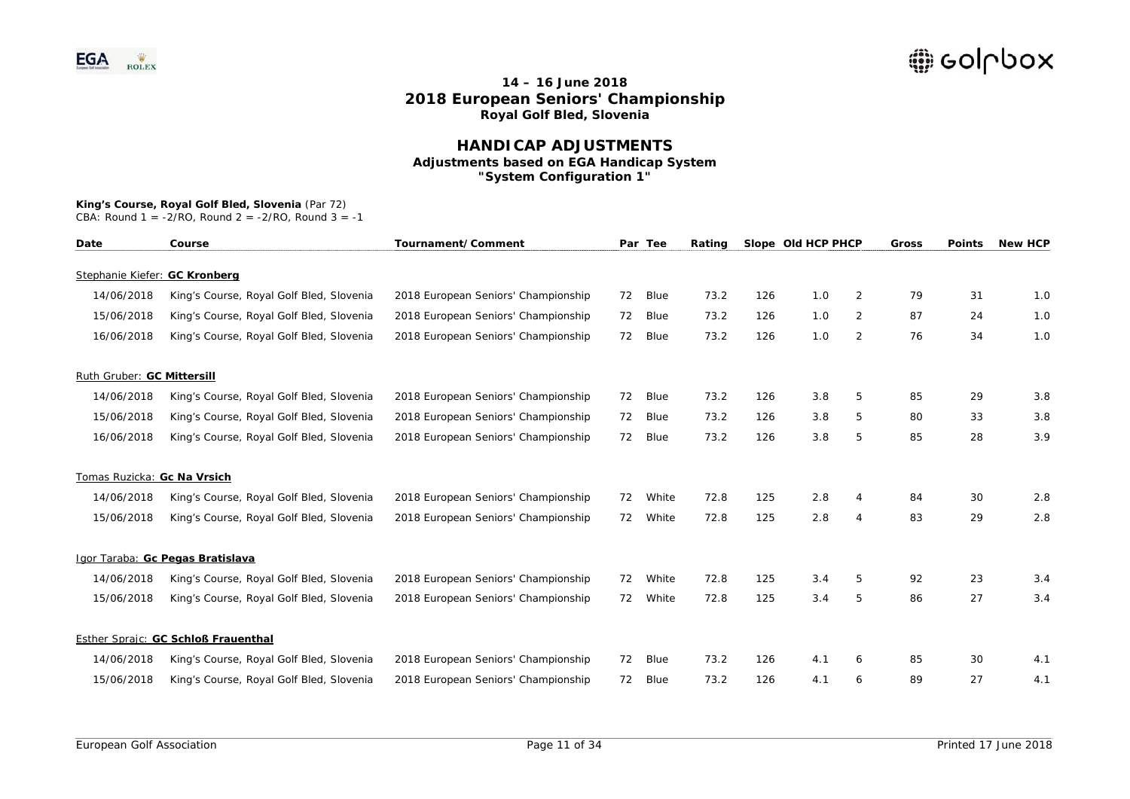### **HANDICAP ADJUSTMENTS Adjustments based on EGA Handicap System "System Configuration 1"**

# **King's Course, Royal Golf Bled, Slovenia** (Par 72)

| Date                          | Course                                   | Tournament/Comment                  |    | Par Tee | Rating |     | Slope Old HCP PHCP |                | Gross | <b>Points</b> | <b>New HCP</b> |
|-------------------------------|------------------------------------------|-------------------------------------|----|---------|--------|-----|--------------------|----------------|-------|---------------|----------------|
| Stephanie Kiefer: GC Kronberg |                                          |                                     |    |         |        |     |                    |                |       |               |                |
| 14/06/2018                    | King's Course, Royal Golf Bled, Slovenia | 2018 European Seniors' Championship | 72 | Blue    | 73.2   | 126 | 1.0                | $\overline{2}$ | 79    | 31            | 1.0            |
| 15/06/2018                    | King's Course, Royal Golf Bled, Slovenia | 2018 European Seniors' Championship | 72 | Blue    | 73.2   | 126 | 1.0                | $\overline{2}$ | 87    | 24            | 1.0            |
| 16/06/2018                    | King's Course, Royal Golf Bled, Slovenia | 2018 European Seniors' Championship | 72 | Blue    | 73.2   | 126 | 1.0                | 2              | 76    | 34            | 1.0            |
| Ruth Gruber: GC Mittersill    |                                          |                                     |    |         |        |     |                    |                |       |               |                |
| 14/06/2018                    | King's Course, Royal Golf Bled, Slovenia | 2018 European Seniors' Championship | 72 | Blue    | 73.2   | 126 | 3.8                | 5              | 85    | 29            | 3.8            |
| 15/06/2018                    | King's Course, Royal Golf Bled, Slovenia | 2018 European Seniors' Championship | 72 | Blue    | 73.2   | 126 | 3.8                | 5              | 80    | 33            | 3.8            |
| 16/06/2018                    | King's Course, Royal Golf Bled, Slovenia | 2018 European Seniors' Championship | 72 | Blue    | 73.2   | 126 | 3.8                | 5              | 85    | 28            | 3.9            |
| Tomas Ruzicka: Gc Na Vrsich   |                                          |                                     |    |         |        |     |                    |                |       |               |                |
| 14/06/2018                    | King's Course, Royal Golf Bled, Slovenia | 2018 European Seniors' Championship | 72 | White   | 72.8   | 125 | 2.8                | 4              | 84    | 30            | 2.8            |
| 15/06/2018                    | King's Course, Royal Golf Bled, Slovenia | 2018 European Seniors' Championship | 72 | White   | 72.8   | 125 | 2.8                | 4              | 83    | 29            | 2.8            |
|                               | Igor Taraba: Gc Pegas Bratislava         |                                     |    |         |        |     |                    |                |       |               |                |
| 14/06/2018                    | King's Course, Royal Golf Bled, Slovenia | 2018 European Seniors' Championship | 72 | White   | 72.8   | 125 | 3.4                | 5              | 92    | 23            | 3.4            |
| 15/06/2018                    | King's Course, Royal Golf Bled, Slovenia | 2018 European Seniors' Championship | 72 | White   | 72.8   | 125 | 3.4                | 5              | 86    | 27            | 3.4            |
|                               | Esther Sprajc: GC Schloß Frauenthal      |                                     |    |         |        |     |                    |                |       |               |                |
| 14/06/2018                    | King's Course, Royal Golf Bled, Slovenia | 2018 European Seniors' Championship | 72 | Blue    | 73.2   | 126 | 4.1                | 6              | 85    | 30            | 4.1            |
| 15/06/2018                    | King's Course, Royal Golf Bled, Slovenia | 2018 European Seniors' Championship | 72 | Blue    | 73.2   | 126 | 4.1                | 6              | 89    | 27            | 4.1            |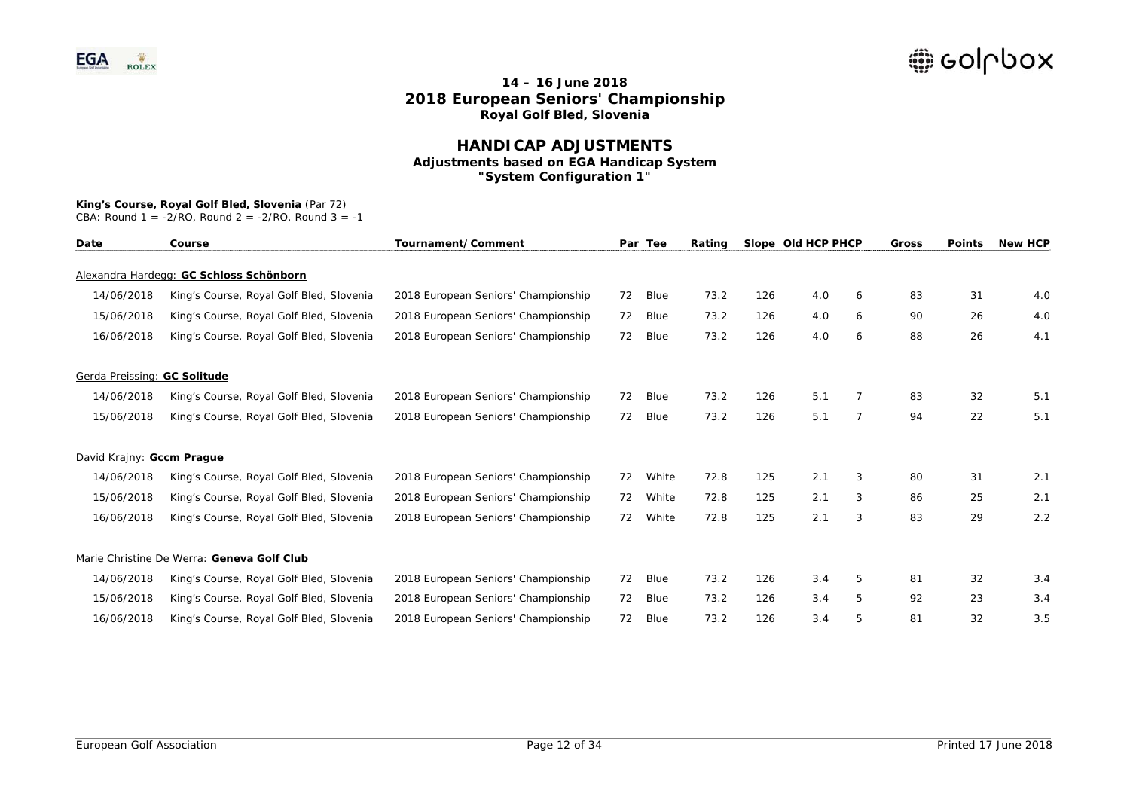### **HANDICAP ADJUSTMENTS Adjustments based on EGA Handicap System "System Configuration 1"**

## **King's Course, Royal Golf Bled, Slovenia** (Par 72)

| Date                         | Course                                     | Tournament/Comment                  |    | Par Tee | Rating |     | Slope Old HCP PHCP |   | Gross | <b>Points</b> | <b>New HCP</b> |
|------------------------------|--------------------------------------------|-------------------------------------|----|---------|--------|-----|--------------------|---|-------|---------------|----------------|
|                              | Alexandra Hardegg: GC Schloss Schönborn    |                                     |    |         |        |     |                    |   |       |               |                |
| 14/06/2018                   | King's Course, Royal Golf Bled, Slovenia   | 2018 European Seniors' Championship | 72 | Blue    | 73.2   | 126 | 4.0                | 6 | 83    | 31            | 4.0            |
| 15/06/2018                   | King's Course, Royal Golf Bled, Slovenia   | 2018 European Seniors' Championship | 72 | Blue    | 73.2   | 126 | 4.0                | 6 | 90    | 26            | 4.0            |
| 16/06/2018                   | King's Course, Royal Golf Bled, Slovenia   | 2018 European Seniors' Championship | 72 | Blue    | 73.2   | 126 | 4.0                | 6 | 88    | 26            | 4.1            |
| Gerda Preissing: GC Solitude |                                            |                                     |    |         |        |     |                    |   |       |               |                |
| 14/06/2018                   | King's Course, Royal Golf Bled, Slovenia   | 2018 European Seniors' Championship | 72 | Blue    | 73.2   | 126 | 5.1                |   | 83    | 32            | 5.1            |
| 15/06/2018                   | King's Course, Royal Golf Bled, Slovenia   | 2018 European Seniors' Championship | 72 | Blue    | 73.2   | 126 | 5.1                | 7 | 94    | 22            | 5.1            |
| David Krainy: Gccm Praque    |                                            |                                     |    |         |        |     |                    |   |       |               |                |
| 14/06/2018                   | King's Course, Royal Golf Bled, Slovenia   | 2018 European Seniors' Championship | 72 | White   | 72.8   | 125 | 2.1                | 3 | 80    | 31            | 2.1            |
| 15/06/2018                   | King's Course, Royal Golf Bled, Slovenia   | 2018 European Seniors' Championship | 72 | White   | 72.8   | 125 | 2.1                | 3 | 86    | 25            | 2.1            |
| 16/06/2018                   | King's Course, Royal Golf Bled, Slovenia   | 2018 European Seniors' Championship | 72 | White   | 72.8   | 125 | 2.1                | 3 | 83    | 29            | 2.2            |
|                              | Marie Christine De Werra: Geneva Golf Club |                                     |    |         |        |     |                    |   |       |               |                |
| 14/06/2018                   | King's Course, Royal Golf Bled, Slovenia   | 2018 European Seniors' Championship | 72 | Blue    | 73.2   | 126 | 3.4                | 5 | 81    | 32            | 3.4            |
| 15/06/2018                   | King's Course, Royal Golf Bled, Slovenia   | 2018 European Seniors' Championship | 72 | Blue    | 73.2   | 126 | 3.4                | 5 | 92    | 23            | 3.4            |
| 16/06/2018                   | King's Course, Royal Golf Bled, Slovenia   | 2018 European Seniors' Championship | 72 | Blue    | 73.2   | 126 | 3.4                | 5 | 81    | 32            | 3.5            |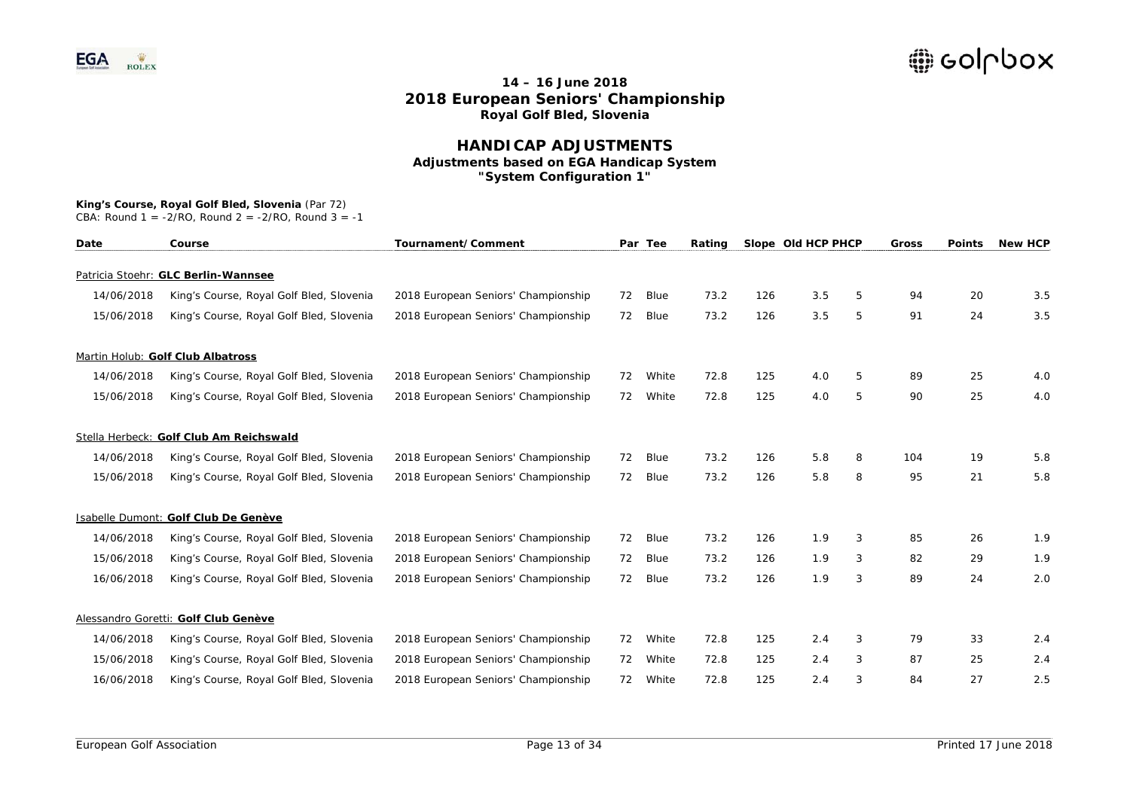### **HANDICAP ADJUSTMENTS Adjustments based on EGA Handicap System "System Configuration 1"**

#### **King's Course, Royal Golf Bled, Slovenia** (Par 72)

| Date       | Course                                   | Tournament/Comment                  |    | Par Tee | Rating |     | Slope Old HCP PHCP |   | Gross | <b>Points</b> | <b>New HCP</b> |
|------------|------------------------------------------|-------------------------------------|----|---------|--------|-----|--------------------|---|-------|---------------|----------------|
|            | Patricia Stoehr: GLC Berlin-Wannsee      |                                     |    |         |        |     |                    |   |       |               |                |
| 14/06/2018 | King's Course, Royal Golf Bled, Slovenia | 2018 European Seniors' Championship | 72 | Blue    | 73.2   | 126 | 3.5                | 5 | 94    | 20            | 3.5            |
| 15/06/2018 | King's Course, Royal Golf Bled, Slovenia | 2018 European Seniors' Championship | 72 | Blue    | 73.2   | 126 | 3.5                | 5 | 91    | 24            | 3.5            |
|            | Martin Holub: Golf Club Albatross        |                                     |    |         |        |     |                    |   |       |               |                |
| 14/06/2018 | King's Course, Royal Golf Bled, Slovenia | 2018 European Seniors' Championship | 72 | White   | 72.8   | 125 | 4.0                | 5 | 89    | 25            | 4.0            |
| 15/06/2018 | King's Course, Royal Golf Bled, Slovenia | 2018 European Seniors' Championship | 72 | White   | 72.8   | 125 | 4.0                | 5 | 90    | 25            | 4.0            |
|            | Stella Herbeck: Golf Club Am Reichswald  |                                     |    |         |        |     |                    |   |       |               |                |
| 14/06/2018 | King's Course, Royal Golf Bled, Slovenia | 2018 European Seniors' Championship | 72 | Blue    | 73.2   | 126 | 5.8                | 8 | 104   | 19            | 5.8            |
| 15/06/2018 | King's Course, Royal Golf Bled, Slovenia | 2018 European Seniors' Championship | 72 | Blue    | 73.2   | 126 | 5.8                | 8 | 95    | 21            | 5.8            |
|            | Isabelle Dumont: Golf Club De Genève     |                                     |    |         |        |     |                    |   |       |               |                |
| 14/06/2018 | King's Course, Royal Golf Bled, Slovenia | 2018 European Seniors' Championship | 72 | Blue    | 73.2   | 126 | 1.9                | 3 | 85    | 26            | 1.9            |
| 15/06/2018 | King's Course, Royal Golf Bled, Slovenia | 2018 European Seniors' Championship | 72 | Blue    | 73.2   | 126 | 1.9                | 3 | 82    | 29            | 1.9            |
| 16/06/2018 | King's Course, Royal Golf Bled, Slovenia | 2018 European Seniors' Championship | 72 | Blue    | 73.2   | 126 | 1.9                | 3 | 89    | 24            | 2.0            |
|            | Alessandro Goretti: Golf Club Genève     |                                     |    |         |        |     |                    |   |       |               |                |
| 14/06/2018 | King's Course, Royal Golf Bled, Slovenia | 2018 European Seniors' Championship | 72 | White   | 72.8   | 125 | 2.4                | 3 | 79    | 33            | 2.4            |
| 15/06/2018 | King's Course, Royal Golf Bled, Slovenia | 2018 European Seniors' Championship | 72 | White   | 72.8   | 125 | 2.4                | 3 | 87    | 25            | 2.4            |
| 16/06/2018 | King's Course, Royal Golf Bled, Slovenia | 2018 European Seniors' Championship | 72 | White   | 72.8   | 125 | 2.4                | 3 | 84    | 27            | 2.5            |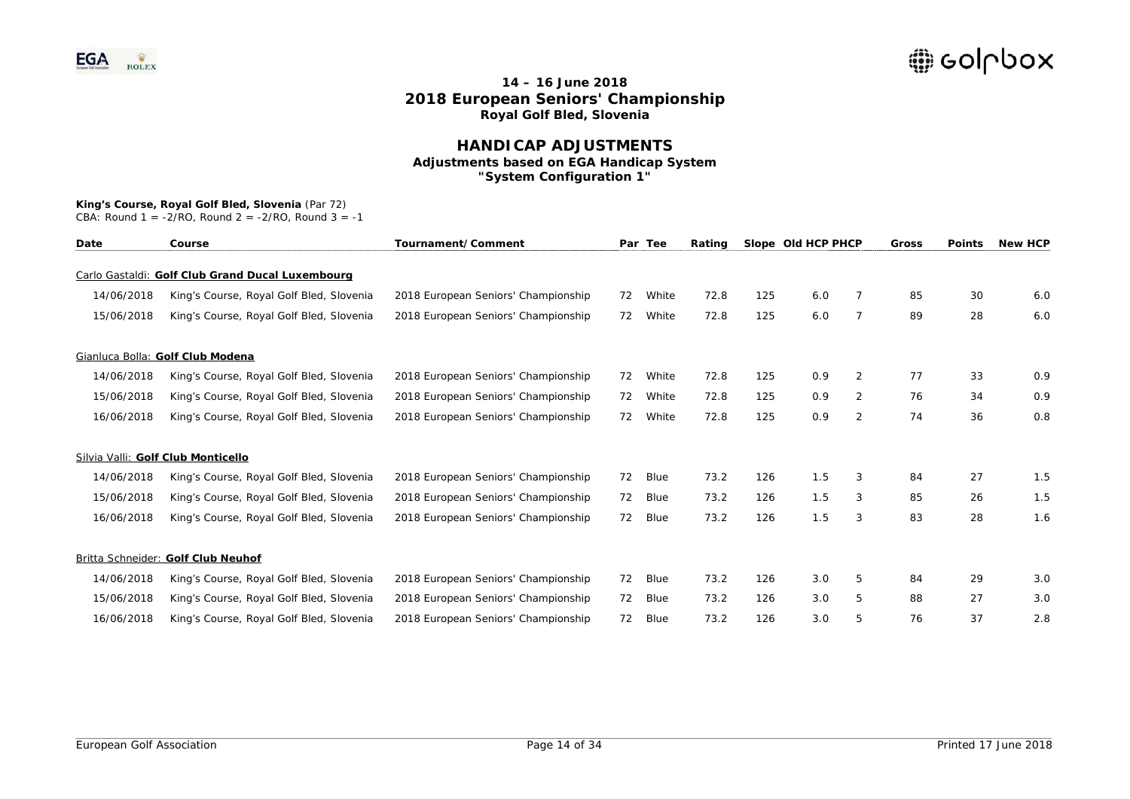### **HANDICAP ADJUSTMENTS Adjustments based on EGA Handicap System "System Configuration 1"**

#### **King's Course, Royal Golf Bled, Slovenia** (Par 72)

| Date       | Course                                           | Tournament/Comment                  |    | Par Tee | Rating |     | Slope Old HCP PHCP |                | Gross | <b>Points</b> | <b>New HCP</b> |
|------------|--------------------------------------------------|-------------------------------------|----|---------|--------|-----|--------------------|----------------|-------|---------------|----------------|
|            | Carlo Gastaldi: Golf Club Grand Ducal Luxembourg |                                     |    |         |        |     |                    |                |       |               |                |
| 14/06/2018 | King's Course, Royal Golf Bled, Slovenia         | 2018 European Seniors' Championship | 72 | White   | 72.8   | 125 | 6.0                | 7              | 85    | 30            | 6.0            |
| 15/06/2018 | King's Course, Royal Golf Bled, Slovenia         | 2018 European Seniors' Championship | 72 | White   | 72.8   | 125 | 6.0                | $\overline{7}$ | 89    | 28            | 6.0            |
|            | Gianluca Bolla: Golf Club Modena                 |                                     |    |         |        |     |                    |                |       |               |                |
| 14/06/2018 | King's Course, Royal Golf Bled, Slovenia         | 2018 European Seniors' Championship | 72 | White   | 72.8   | 125 | 0.9                | $\overline{2}$ | 77    | 33            | 0.9            |
| 15/06/2018 | King's Course, Royal Golf Bled, Slovenia         | 2018 European Seniors' Championship | 72 | White   | 72.8   | 125 | 0.9                | 2              | 76    | 34            | 0.9            |
| 16/06/2018 | King's Course, Royal Golf Bled, Slovenia         | 2018 European Seniors' Championship | 72 | White   | 72.8   | 125 | 0.9                | $\overline{2}$ | 74    | 36            | 0.8            |
|            | Silvia Valli: Golf Club Monticello               |                                     |    |         |        |     |                    |                |       |               |                |
| 14/06/2018 | King's Course, Royal Golf Bled, Slovenia         | 2018 European Seniors' Championship | 72 | Blue    | 73.2   | 126 | 1.5                | 3              | 84    | 27            | 1.5            |
| 15/06/2018 | King's Course, Royal Golf Bled, Slovenia         | 2018 European Seniors' Championship | 72 | Blue    | 73.2   | 126 | 1.5                | 3              | 85    | 26            | 1.5            |
| 16/06/2018 | King's Course, Royal Golf Bled, Slovenia         | 2018 European Seniors' Championship | 72 | Blue    | 73.2   | 126 | 1.5                | 3              | 83    | 28            | 1.6            |
|            | Britta Schneider: Golf Club Neuhof               |                                     |    |         |        |     |                    |                |       |               |                |
| 14/06/2018 | King's Course, Royal Golf Bled, Slovenia         | 2018 European Seniors' Championship | 72 | Blue    | 73.2   | 126 | 3.0                | 5              | 84    | 29            | 3.0            |
| 15/06/2018 | King's Course, Royal Golf Bled, Slovenia         | 2018 European Seniors' Championship | 72 | Blue    | 73.2   | 126 | 3.0                | 5              | 88    | 27            | 3.0            |
| 16/06/2018 | King's Course, Royal Golf Bled, Slovenia         | 2018 European Seniors' Championship | 72 | Blue    | 73.2   | 126 | 3.0                | 5              | 76    | 37            | 2.8            |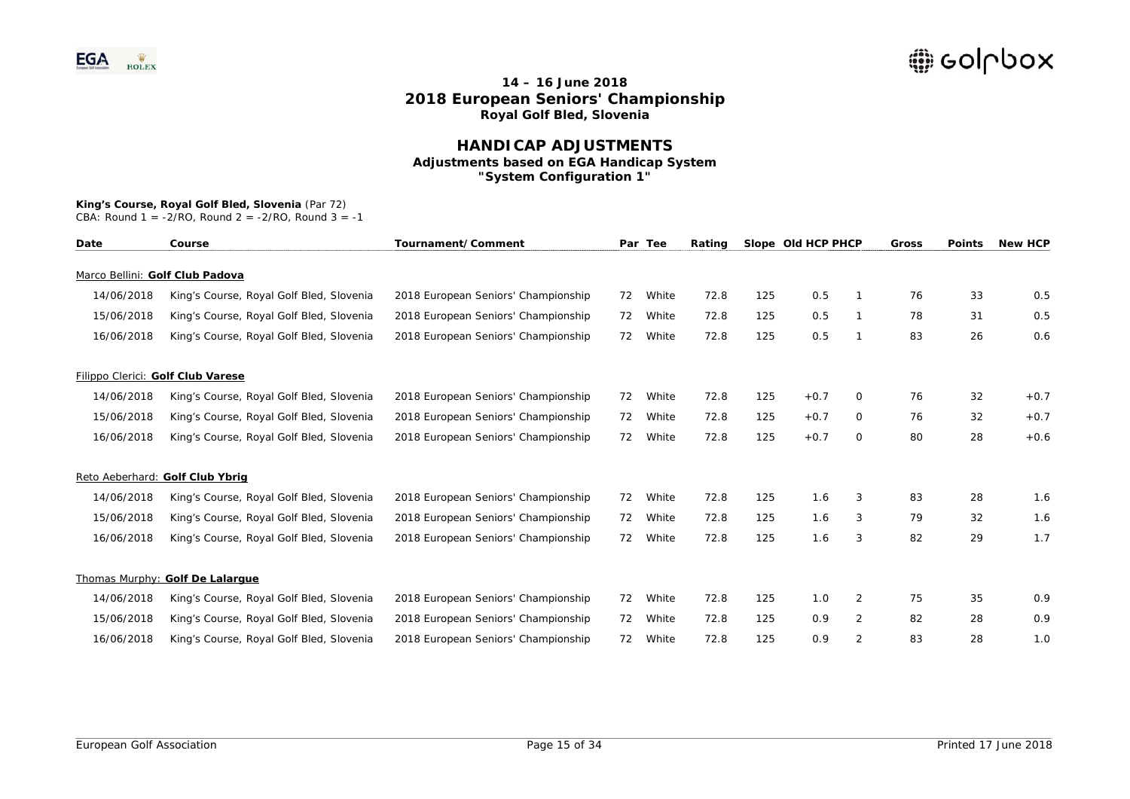### **HANDICAP ADJUSTMENTS Adjustments based on EGA Handicap System "System Configuration 1"**

# **King's Course, Royal Golf Bled, Slovenia** (Par 72)

| Date       | Course                                   | Tournament/Comment                  |    | Par Tee | Rating |     | Slope Old HCP PHCP |                | Gross | <b>Points</b> | <b>New HCP</b> |
|------------|------------------------------------------|-------------------------------------|----|---------|--------|-----|--------------------|----------------|-------|---------------|----------------|
|            | Marco Bellini: Golf Club Padova          |                                     |    |         |        |     |                    |                |       |               |                |
| 14/06/2018 | King's Course, Royal Golf Bled, Slovenia | 2018 European Seniors' Championship | 72 | White   | 72.8   | 125 | 0.5                |                | 76    | 33            | 0.5            |
| 15/06/2018 | King's Course, Royal Golf Bled, Slovenia | 2018 European Seniors' Championship | 72 | White   | 72.8   | 125 | 0.5                |                | 78    | 31            | 0.5            |
| 16/06/2018 | King's Course, Royal Golf Bled, Slovenia | 2018 European Seniors' Championship | 72 | White   | 72.8   | 125 | 0.5                |                | 83    | 26            | 0.6            |
|            | Filippo Clerici: Golf Club Varese        |                                     |    |         |        |     |                    |                |       |               |                |
| 14/06/2018 | King's Course, Royal Golf Bled, Slovenia | 2018 European Seniors' Championship | 72 | White   | 72.8   | 125 | $+0.7$             | 0              | 76    | 32            | $+0.7$         |
| 15/06/2018 | King's Course, Royal Golf Bled, Slovenia | 2018 European Seniors' Championship | 72 | White   | 72.8   | 125 | $+0.7$             | 0              | 76    | 32            | $+0.7$         |
| 16/06/2018 | King's Course, Royal Golf Bled, Slovenia | 2018 European Seniors' Championship | 72 | White   | 72.8   | 125 | $+0.7$             | 0              | 80    | 28            | $+0.6$         |
|            | Reto Aeberhard: Golf Club Ybrig          |                                     |    |         |        |     |                    |                |       |               |                |
| 14/06/2018 | King's Course, Royal Golf Bled, Slovenia | 2018 European Seniors' Championship | 72 | White   | 72.8   | 125 | 1.6                | 3              | 83    | 28            | 1.6            |
| 15/06/2018 | King's Course, Royal Golf Bled, Slovenia | 2018 European Seniors' Championship | 72 | White   | 72.8   | 125 | 1.6                | 3              | 79    | 32            | 1.6            |
| 16/06/2018 | King's Course, Royal Golf Bled, Slovenia | 2018 European Seniors' Championship | 72 | White   | 72.8   | 125 | 1.6                | 3              | 82    | 29            | 1.7            |
|            | Thomas Murphy: Golf De Lalarque          |                                     |    |         |        |     |                    |                |       |               |                |
| 14/06/2018 | King's Course, Royal Golf Bled, Slovenia | 2018 European Seniors' Championship | 72 | White   | 72.8   | 125 | 1.0                | $\overline{2}$ | 75    | 35            | 0.9            |
| 15/06/2018 | King's Course, Royal Golf Bled, Slovenia | 2018 European Seniors' Championship | 72 | White   | 72.8   | 125 | 0.9                | 2              | 82    | 28            | 0.9            |
| 16/06/2018 | King's Course, Royal Golf Bled, Slovenia | 2018 European Seniors' Championship | 72 | White   | 72.8   | 125 | 0.9                | 2              | 83    | 28            | 1.0            |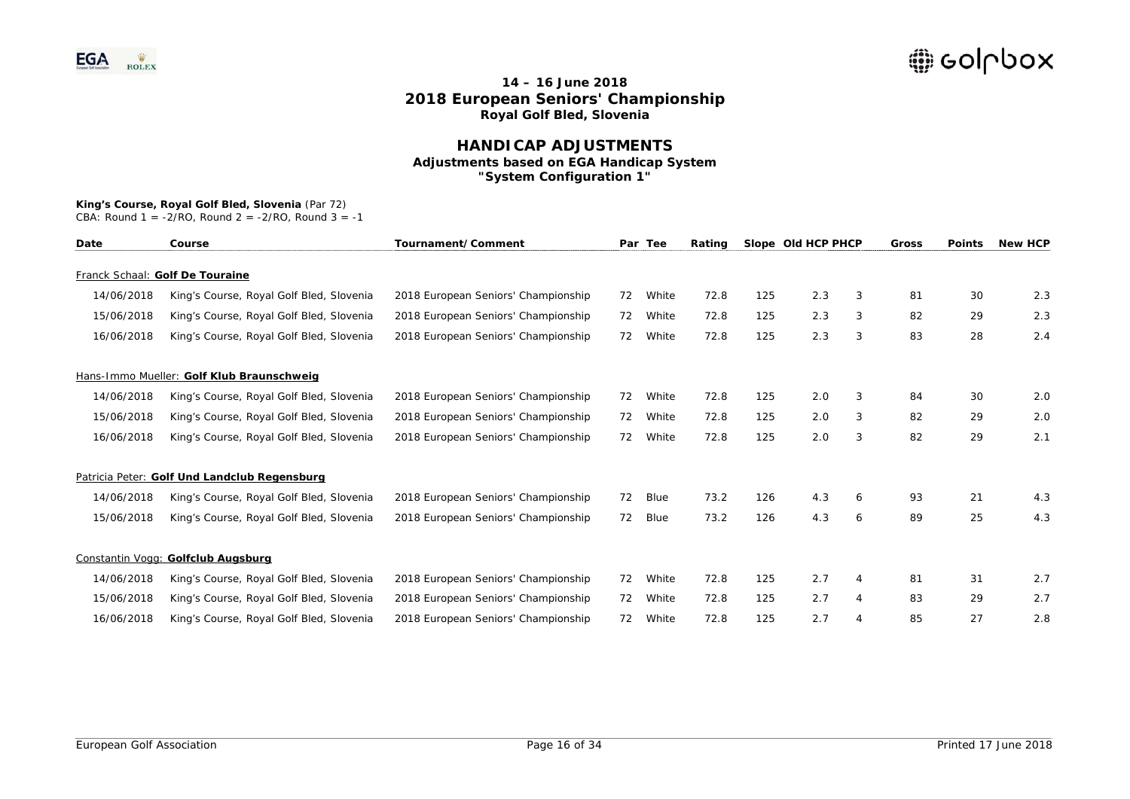### **HANDICAP ADJUSTMENTS Adjustments based on EGA Handicap System "System Configuration 1"**

# **King's Course, Royal Golf Bled, Slovenia** (Par 72)

| Date       | Course                                       | Tournament/Comment                  |    | Par Tee | Rating |     | Slope Old HCP PHCP |   | Gross | <b>Points</b> | <b>New HCP</b> |
|------------|----------------------------------------------|-------------------------------------|----|---------|--------|-----|--------------------|---|-------|---------------|----------------|
|            | Franck Schaal: Golf De Touraine              |                                     |    |         |        |     |                    |   |       |               |                |
| 14/06/2018 | King's Course, Royal Golf Bled, Slovenia     | 2018 European Seniors' Championship | 72 | White   | 72.8   | 125 | 2.3                | 3 | 81    | 30            | 2.3            |
| 15/06/2018 | King's Course, Royal Golf Bled, Slovenia     | 2018 European Seniors' Championship | 72 | White   | 72.8   | 125 | 2.3                | 3 | 82    | 29            | 2.3            |
| 16/06/2018 | King's Course, Royal Golf Bled, Slovenia     | 2018 European Seniors' Championship | 72 | White   | 72.8   | 125 | 2.3                | 3 | 83    | 28            | 2.4            |
|            | Hans-Immo Mueller: Golf Klub Braunschweig    |                                     |    |         |        |     |                    |   |       |               |                |
| 14/06/2018 | King's Course, Royal Golf Bled, Slovenia     | 2018 European Seniors' Championship | 72 | White   | 72.8   | 125 | 2.0                | 3 | 84    | 30            | 2.0            |
| 15/06/2018 | King's Course, Royal Golf Bled, Slovenia     | 2018 European Seniors' Championship | 72 | White   | 72.8   | 125 | 2.0                | 3 | 82    | 29            | 2.0            |
| 16/06/2018 | King's Course, Royal Golf Bled, Slovenia     | 2018 European Seniors' Championship | 72 | White   | 72.8   | 125 | 2.0                | 3 | 82    | 29            | 2.1            |
|            | Patricia Peter: Golf Und Landclub Regensburg |                                     |    |         |        |     |                    |   |       |               |                |
| 14/06/2018 | King's Course, Royal Golf Bled, Slovenia     | 2018 European Seniors' Championship | 72 | Blue    | 73.2   | 126 | 4.3                | 6 | 93    | 21            | 4.3            |
| 15/06/2018 | King's Course, Royal Golf Bled, Slovenia     | 2018 European Seniors' Championship | 72 | Blue    | 73.2   | 126 | 4.3                | 6 | 89    | 25            | 4.3            |
|            | Constantin Vogg: Golfclub Augsburg           |                                     |    |         |        |     |                    |   |       |               |                |
| 14/06/2018 | King's Course, Royal Golf Bled, Slovenia     | 2018 European Seniors' Championship | 72 | White   | 72.8   | 125 | 2.7                | 4 | 81    | 31            | 2.7            |
| 15/06/2018 | King's Course, Royal Golf Bled, Slovenia     | 2018 European Seniors' Championship | 72 | White   | 72.8   | 125 | 2.7                | 4 | 83    | 29            | 2.7            |
| 16/06/2018 | King's Course, Royal Golf Bled, Slovenia     | 2018 European Seniors' Championship | 72 | White   | 72.8   | 125 | 2.7                | 4 | 85    | 27            | 2.8            |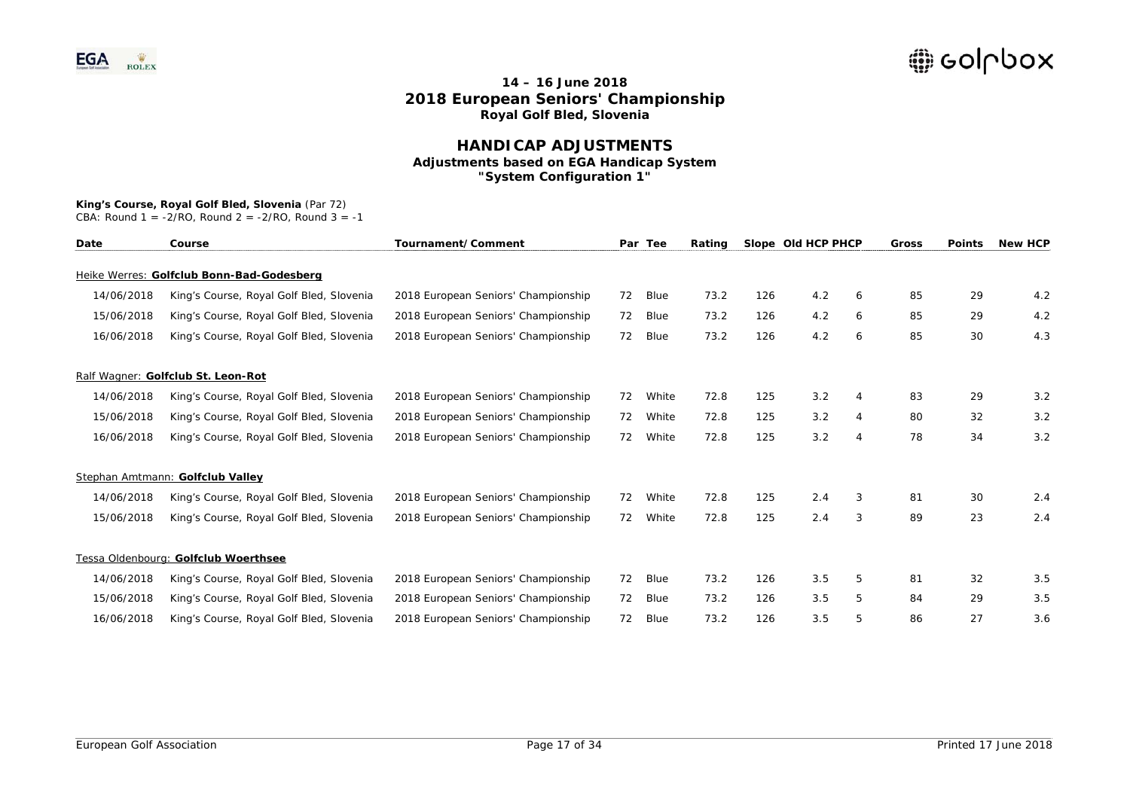### **HANDICAP ADJUSTMENTS Adjustments based on EGA Handicap System "System Configuration 1"**

## **King's Course, Royal Golf Bled, Slovenia** (Par 72)

| Date       | Course                                    | Tournament/Comment                  |    | Par Tee     | Rating |     | Slope Old HCP PHCP |                | Gross | <b>Points</b> | <b>New HCP</b> |
|------------|-------------------------------------------|-------------------------------------|----|-------------|--------|-----|--------------------|----------------|-------|---------------|----------------|
|            | Heike Werres: Golfclub Bonn-Bad-Godesberg |                                     |    |             |        |     |                    |                |       |               |                |
| 14/06/2018 | King's Course, Royal Golf Bled, Slovenia  | 2018 European Seniors' Championship | 72 | <b>Blue</b> | 73.2   | 126 | 4.2                | 6              | 85    | 29            | 4.2            |
| 15/06/2018 | King's Course, Royal Golf Bled, Slovenia  | 2018 European Seniors' Championship | 72 | Blue        | 73.2   | 126 | 4.2                | 6              | 85    | 29            | 4.2            |
| 16/06/2018 | King's Course, Royal Golf Bled, Slovenia  | 2018 European Seniors' Championship | 72 | Blue        | 73.2   | 126 | 4.2                | 6              | 85    | 30            | 4.3            |
|            | Ralf Wagner: Golfclub St. Leon-Rot        |                                     |    |             |        |     |                    |                |       |               |                |
| 14/06/2018 | King's Course, Royal Golf Bled, Slovenia  | 2018 European Seniors' Championship | 72 | White       | 72.8   | 125 | 3.2                | 4              | 83    | 29            | 3.2            |
| 15/06/2018 | King's Course, Royal Golf Bled, Slovenia  | 2018 European Seniors' Championship | 72 | White       | 72.8   | 125 | 3.2                | $\overline{4}$ | 80    | 32            | 3.2            |
| 16/06/2018 | King's Course, Royal Golf Bled, Slovenia  | 2018 European Seniors' Championship | 72 | White       | 72.8   | 125 | 3.2                | 4              | 78    | 34            | 3.2            |
|            | Stephan Amtmann: Golfclub Valley          |                                     |    |             |        |     |                    |                |       |               |                |
| 14/06/2018 | King's Course, Royal Golf Bled, Slovenia  | 2018 European Seniors' Championship | 72 | White       | 72.8   | 125 | 2.4                | 3              | 81    | 30            | 2.4            |
| 15/06/2018 | King's Course, Royal Golf Bled, Slovenia  | 2018 European Seniors' Championship | 72 | White       | 72.8   | 125 | 2.4                | 3              | 89    | 23            | 2.4            |
|            | Tessa Oldenbourg: Golfclub Woerthsee      |                                     |    |             |        |     |                    |                |       |               |                |
| 14/06/2018 | King's Course, Royal Golf Bled, Slovenia  | 2018 European Seniors' Championship | 72 | Blue        | 73.2   | 126 | 3.5                | 5              | 81    | 32            | 3.5            |
| 15/06/2018 | King's Course, Royal Golf Bled, Slovenia  | 2018 European Seniors' Championship | 72 | Blue        | 73.2   | 126 | 3.5                | 5              | 84    | 29            | 3.5            |
| 16/06/2018 | King's Course, Royal Golf Bled, Slovenia  | 2018 European Seniors' Championship | 72 | Blue        | 73.2   | 126 | 3.5                | 5              | 86    | 27            | 3.6            |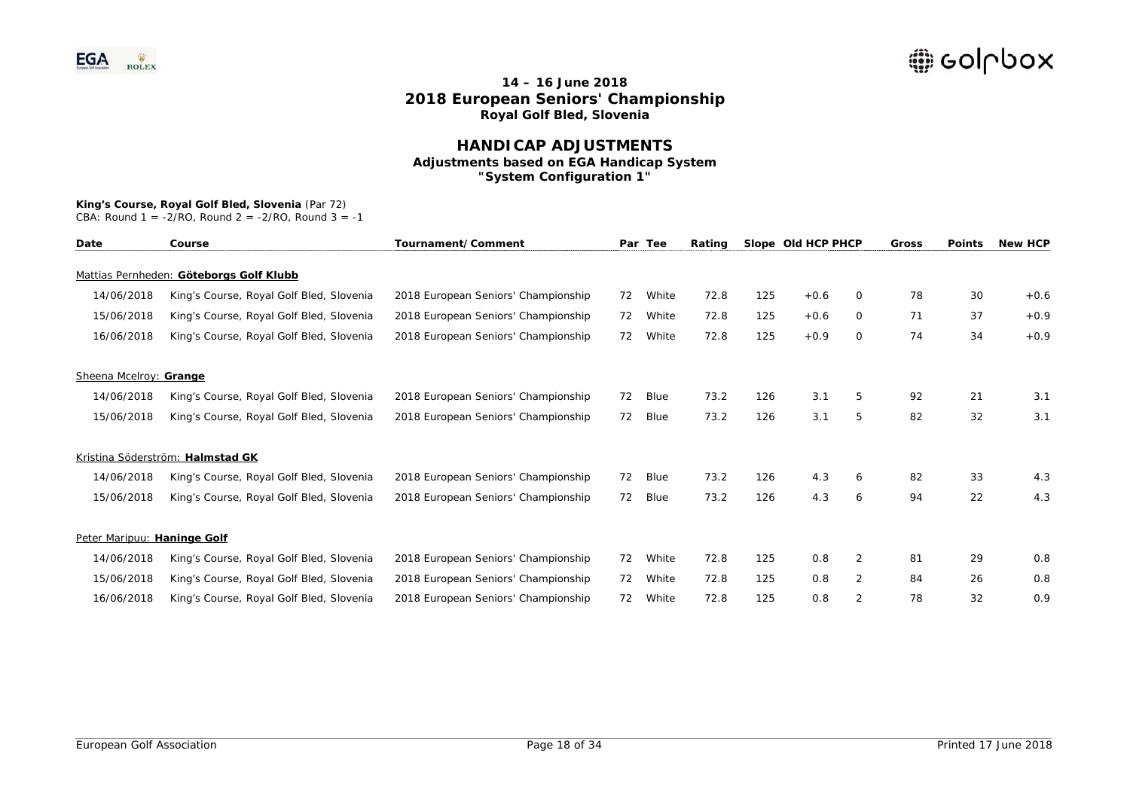### **HANDICAP ADJUSTMENTS Adjustments based on EGA Handicap System "System Configuration 1"**

### **King's Course, Royal Golf Bled, Slovenia** (Par 72)

| Date                        | Course                                   | Tournament/Comment                  |    | Par Tee | Rating |     | Slope Old HCP PHCP |                | Gross | <b>Points</b> | <b>New HCP</b> |
|-----------------------------|------------------------------------------|-------------------------------------|----|---------|--------|-----|--------------------|----------------|-------|---------------|----------------|
|                             | Mattias Pernheden: Göteborgs Golf Klubb  |                                     |    |         |        |     |                    |                |       |               |                |
| 14/06/2018                  | King's Course, Royal Golf Bled, Slovenia | 2018 European Seniors' Championship | 72 | White   | 72.8   | 125 | $+0.6$             | 0              | 78    | 30            | $+0.6$         |
| 15/06/2018                  | King's Course, Royal Golf Bled, Slovenia | 2018 European Seniors' Championship | 72 | White   | 72.8   | 125 | $+0.6$             | 0              | 71    | 37            | $+0.9$         |
| 16/06/2018                  | King's Course, Royal Golf Bled, Slovenia | 2018 European Seniors' Championship | 72 | White   | 72.8   | 125 | $+0.9$             | 0              | 74    | 34            | $+0.9$         |
| Sheena Mcelroy: Grange      |                                          |                                     |    |         |        |     |                    |                |       |               |                |
| 14/06/2018                  | King's Course, Royal Golf Bled, Slovenia | 2018 European Seniors' Championship | 72 | Blue    | 73.2   | 126 | 3.1                | 5              | 92    | 21            | 3.1            |
| 15/06/2018                  | King's Course, Royal Golf Bled, Slovenia | 2018 European Seniors' Championship | 72 | Blue    | 73.2   | 126 | 3.1                | 5              | 82    | 32            | 3.1            |
|                             | Kristina Söderström: Halmstad GK         |                                     |    |         |        |     |                    |                |       |               |                |
| 14/06/2018                  | King's Course, Royal Golf Bled, Slovenia | 2018 European Seniors' Championship | 72 | Blue    | 73.2   | 126 | 4.3                | 6              | 82    | 33            | 4.3            |
| 15/06/2018                  | King's Course, Royal Golf Bled, Slovenia | 2018 European Seniors' Championship | 72 | Blue    | 73.2   | 126 | 4.3                | 6              | 94    | 22            | 4.3            |
| Peter Maripuu: Haninge Golf |                                          |                                     |    |         |        |     |                    |                |       |               |                |
| 14/06/2018                  | King's Course, Royal Golf Bled, Slovenia | 2018 European Seniors' Championship | 72 | White   | 72.8   | 125 | 0.8                | 2              | 81    | 29            | 0.8            |
| 15/06/2018                  | King's Course, Royal Golf Bled, Slovenia | 2018 European Seniors' Championship | 72 | White   | 72.8   | 125 | 0.8                | $\overline{2}$ | 84    | 26            | 0.8            |
| 16/06/2018                  | King's Course, Royal Golf Bled, Slovenia | 2018 European Seniors' Championship | 72 | White   | 72.8   | 125 | 0.8                | 2              | 78    | 32            | 0.9            |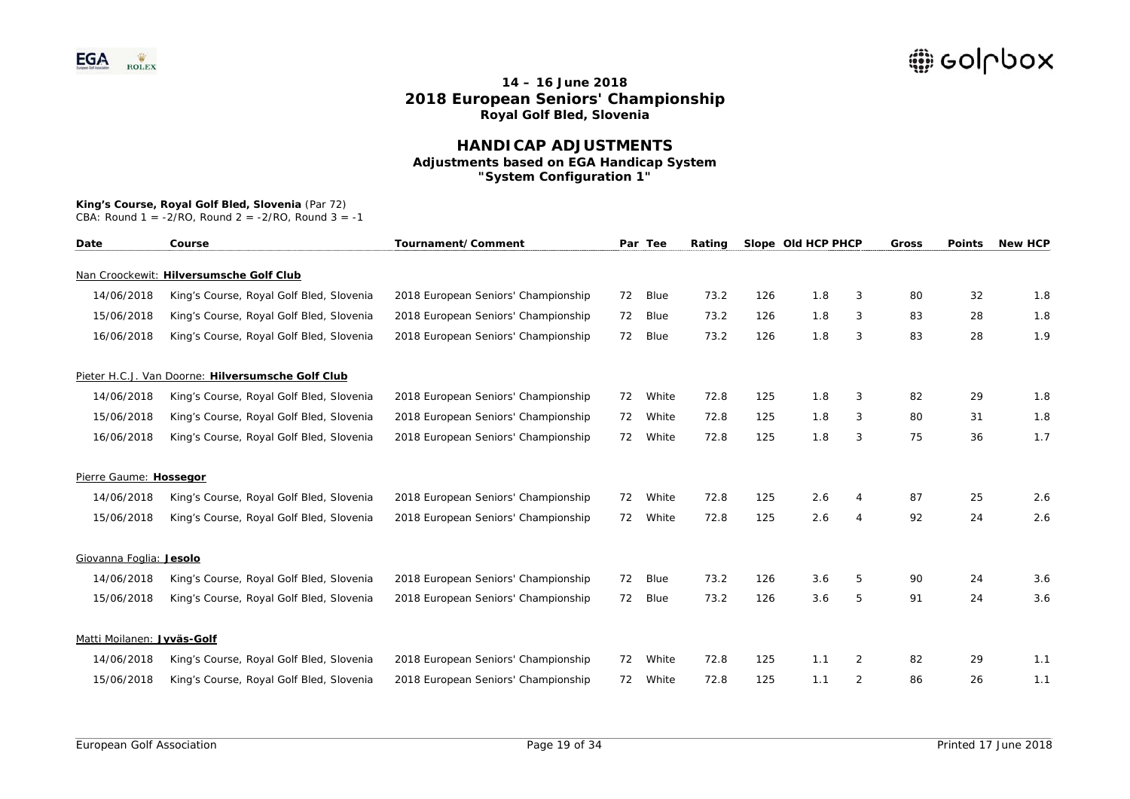### **HANDICAP ADJUSTMENTS Adjustments based on EGA Handicap System "System Configuration 1"**

## **King's Course, Royal Golf Bled, Slovenia** (Par 72)

| Date                       | Course                                            | Tournament/Comment                  |    | Par Tee | Rating |     | Slope Old HCP PHCP |                | Gross | <b>Points</b> | <b>New HCP</b> |
|----------------------------|---------------------------------------------------|-------------------------------------|----|---------|--------|-----|--------------------|----------------|-------|---------------|----------------|
|                            | Nan Croockewit: Hilversumsche Golf Club           |                                     |    |         |        |     |                    |                |       |               |                |
| 14/06/2018                 | King's Course, Royal Golf Bled, Slovenia          | 2018 European Seniors' Championship | 72 | Blue    | 73.2   | 126 | 1.8                | 3              | 80    | 32            | 1.8            |
| 15/06/2018                 | King's Course, Royal Golf Bled, Slovenia          | 2018 European Seniors' Championship | 72 | Blue    | 73.2   | 126 | 1.8                | 3              | 83    | 28            | 1.8            |
| 16/06/2018                 | King's Course, Royal Golf Bled, Slovenia          | 2018 European Seniors' Championship | 72 | Blue    | 73.2   | 126 | 1.8                | 3              | 83    | 28            | 1.9            |
|                            | Pieter H.C.J. Van Doorne: Hilversumsche Golf Club |                                     |    |         |        |     |                    |                |       |               |                |
| 14/06/2018                 | King's Course, Royal Golf Bled, Slovenia          | 2018 European Seniors' Championship | 72 | White   | 72.8   | 125 | 1.8                | 3              | 82    | 29            | 1.8            |
| 15/06/2018                 | King's Course, Royal Golf Bled, Slovenia          | 2018 European Seniors' Championship | 72 | White   | 72.8   | 125 | 1.8                | 3              | 80    | 31            | 1.8            |
| 16/06/2018                 | King's Course, Royal Golf Bled, Slovenia          | 2018 European Seniors' Championship | 72 | White   | 72.8   | 125 | 1.8                | 3              | 75    | 36            | 1.7            |
| Pierre Gaume: Hossegor     |                                                   |                                     |    |         |        |     |                    |                |       |               |                |
| 14/06/2018                 | King's Course, Royal Golf Bled, Slovenia          | 2018 European Seniors' Championship | 72 | White   | 72.8   | 125 | 2.6                | 4              | 87    | 25            | 2.6            |
| 15/06/2018                 | King's Course, Royal Golf Bled, Slovenia          | 2018 European Seniors' Championship | 72 | White   | 72.8   | 125 | 2.6                | $\overline{4}$ | 92    | 24            | 2.6            |
| Giovanna Foglia: Jesolo    |                                                   |                                     |    |         |        |     |                    |                |       |               |                |
| 14/06/2018                 | King's Course, Royal Golf Bled, Slovenia          | 2018 European Seniors' Championship | 72 | Blue    | 73.2   | 126 | 3.6                | 5              | 90    | 24            | 3.6            |
| 15/06/2018                 | King's Course, Royal Golf Bled, Slovenia          | 2018 European Seniors' Championship | 72 | Blue    | 73.2   | 126 | 3.6                | 5              | 91    | 24            | 3.6            |
| Matti Moilanen: Jyväs-Golf |                                                   |                                     |    |         |        |     |                    |                |       |               |                |
| 14/06/2018                 | King's Course, Royal Golf Bled, Slovenia          | 2018 European Seniors' Championship | 72 | White   | 72.8   | 125 | 1.1                | 2              | 82    | 29            | 1.1            |
| 15/06/2018                 | King's Course, Royal Golf Bled, Slovenia          | 2018 European Seniors' Championship | 72 | White   | 72.8   | 125 | 1.1                | 2              | 86    | 26            | 1.1            |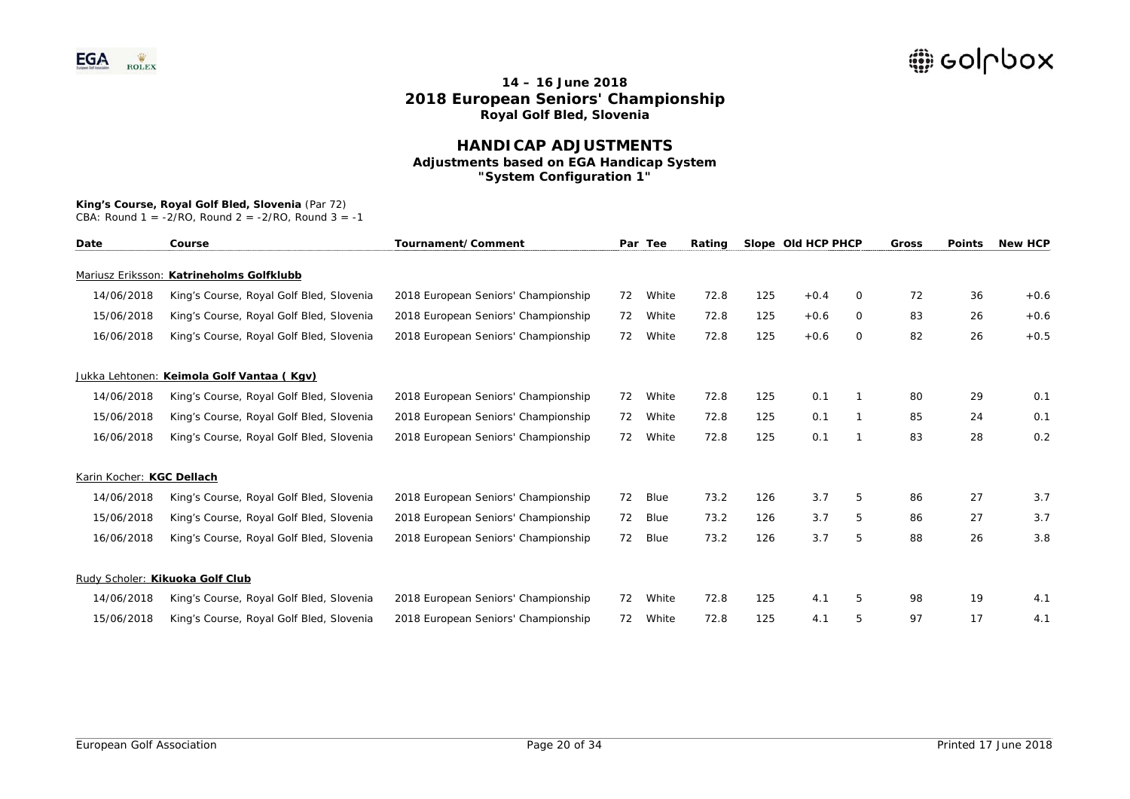### **HANDICAP ADJUSTMENTS Adjustments based on EGA Handicap System "System Configuration 1"**

## **King's Course, Royal Golf Bled, Slovenia** (Par 72)

| Date                      | Course                                    | Tournament/Comment                  |    | Par Tee | Rating |     | Slope Old HCP PHCP |          | Gross | <b>Points</b> | <b>New HCP</b> |
|---------------------------|-------------------------------------------|-------------------------------------|----|---------|--------|-----|--------------------|----------|-------|---------------|----------------|
|                           | Mariusz Eriksson: Katrineholms Golfklubb  |                                     |    |         |        |     |                    |          |       |               |                |
| 14/06/2018                | King's Course, Royal Golf Bled, Slovenia  | 2018 European Seniors' Championship | 72 | White   | 72.8   | 125 | $+0.4$             | $\circ$  | 72    | 36            | $+0.6$         |
| 15/06/2018                | King's Course, Royal Golf Bled, Slovenia  | 2018 European Seniors' Championship | 72 | White   | 72.8   | 125 | $+0.6$             | $\Omega$ | 83    | 26            | $+0.6$         |
| 16/06/2018                | King's Course, Royal Golf Bled, Slovenia  | 2018 European Seniors' Championship | 72 | White   | 72.8   | 125 | $+0.6$             | $\circ$  | 82    | 26            | $+0.5$         |
|                           | Jukka Lehtonen: Keimola Golf Vantaa (Kgv) |                                     |    |         |        |     |                    |          |       |               |                |
| 14/06/2018                | King's Course, Royal Golf Bled, Slovenia  | 2018 European Seniors' Championship | 72 | White   | 72.8   | 125 | 0.1                |          | 80    | 29            | 0.1            |
| 15/06/2018                | King's Course, Royal Golf Bled, Slovenia  | 2018 European Seniors' Championship | 72 | White   | 72.8   | 125 | 0.1                |          | 85    | 24            | 0.1            |
| 16/06/2018                | King's Course, Royal Golf Bled, Slovenia  | 2018 European Seniors' Championship | 72 | White   | 72.8   | 125 | 0.1                | 1        | 83    | 28            | 0.2            |
| Karin Kocher: KGC Dellach |                                           |                                     |    |         |        |     |                    |          |       |               |                |
| 14/06/2018                | King's Course, Royal Golf Bled, Slovenia  | 2018 European Seniors' Championship | 72 | Blue    | 73.2   | 126 | 3.7                | 5        | 86    | 27            | 3.7            |
| 15/06/2018                | King's Course, Royal Golf Bled, Slovenia  | 2018 European Seniors' Championship | 72 | Blue    | 73.2   | 126 | 3.7                | 5        | 86    | 27            | 3.7            |
| 16/06/2018                | King's Course, Royal Golf Bled, Slovenia  | 2018 European Seniors' Championship | 72 | Blue    | 73.2   | 126 | 3.7                | 5        | 88    | 26            | 3.8            |
|                           | Rudy Scholer: Kikuoka Golf Club           |                                     |    |         |        |     |                    |          |       |               |                |
| 14/06/2018                | King's Course, Royal Golf Bled, Slovenia  | 2018 European Seniors' Championship | 72 | White   | 72.8   | 125 | 4.1                | 5        | 98    | 19            | 4.1            |
| 15/06/2018                | King's Course, Royal Golf Bled, Slovenia  | 2018 European Seniors' Championship | 72 | White   | 72.8   | 125 | 4.1                | 5        | 97    | 17            | 4.1            |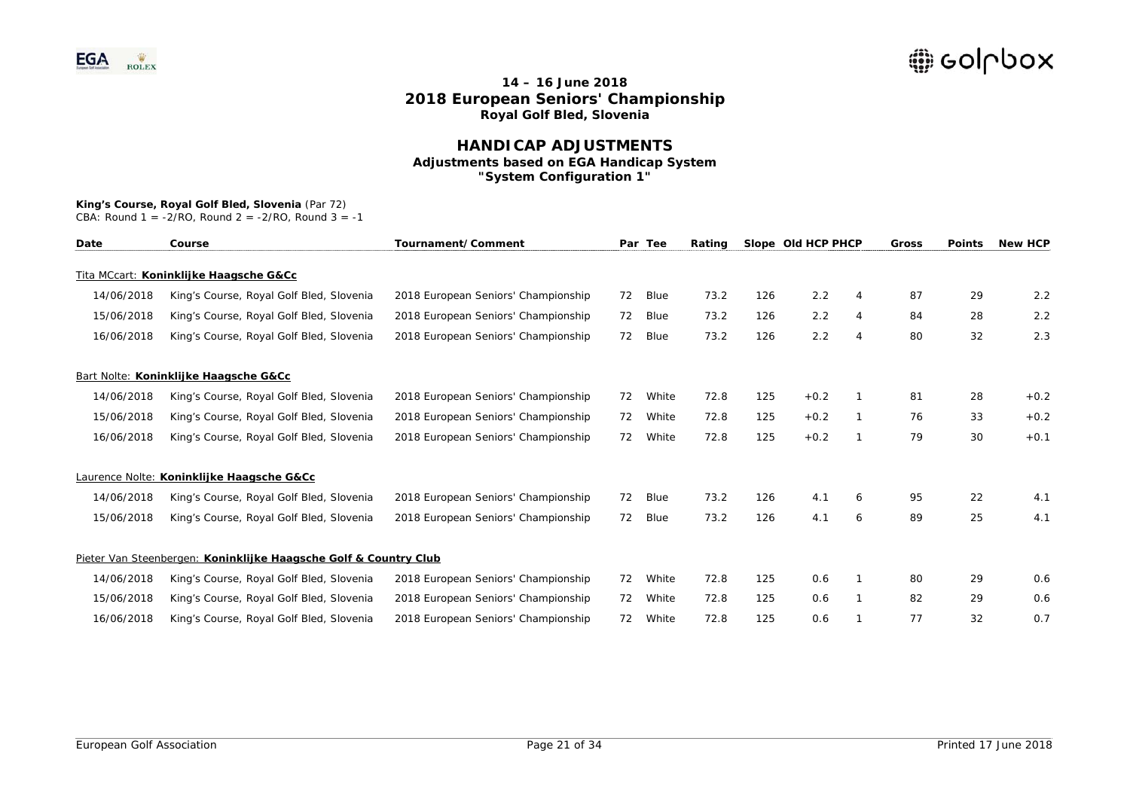### **HANDICAP ADJUSTMENTS Adjustments based on EGA Handicap System "System Configuration 1"**

## **King's Course, Royal Golf Bled, Slovenia** (Par 72)

| Date       | Course                                                           | Tournament/Comment                  |    | Par Tee | Rating |     | Slope Old HCP PHCP |                | Gross | <b>Points</b> | <b>New HCP</b> |
|------------|------------------------------------------------------------------|-------------------------------------|----|---------|--------|-----|--------------------|----------------|-------|---------------|----------------|
|            | Tita MCcart: Koninklijke Haagsche G&Cc                           |                                     |    |         |        |     |                    |                |       |               |                |
| 14/06/2018 | King's Course, Royal Golf Bled, Slovenia                         | 2018 European Seniors' Championship | 72 | Blue    | 73.2   | 126 | 2.2                | 4              | 87    | 29            | 2.2            |
| 15/06/2018 | King's Course, Royal Golf Bled, Slovenia                         | 2018 European Seniors' Championship | 72 | Blue    | 73.2   | 126 | 2.2                | 4              | 84    | 28            | 2.2            |
| 16/06/2018 | King's Course, Royal Golf Bled, Slovenia                         | 2018 European Seniors' Championship | 72 | Blue    | 73.2   | 126 | 2.2                | $\overline{4}$ | 80    | 32            | 2.3            |
|            | Bart Nolte: Koninklijke Haagsche G&Cc                            |                                     |    |         |        |     |                    |                |       |               |                |
| 14/06/2018 | King's Course, Royal Golf Bled, Slovenia                         | 2018 European Seniors' Championship | 72 | White   | 72.8   | 125 | $+0.2$             |                | 81    | 28            | $+0.2$         |
| 15/06/2018 | King's Course, Royal Golf Bled, Slovenia                         | 2018 European Seniors' Championship | 72 | White   | 72.8   | 125 | $+0.2$             |                | 76    | 33            | $+0.2$         |
| 16/06/2018 | King's Course, Royal Golf Bled, Slovenia                         | 2018 European Seniors' Championship | 72 | White   | 72.8   | 125 | $+0.2$             | $\mathbf 1$    | 79    | 30            | $+0.1$         |
|            | Laurence Nolte: Koninklijke Haagsche G&Cc                        |                                     |    |         |        |     |                    |                |       |               |                |
| 14/06/2018 | King's Course, Royal Golf Bled, Slovenia                         | 2018 European Seniors' Championship | 72 | Blue    | 73.2   | 126 | 4.1                | 6              | 95    | 22            | 4.1            |
| 15/06/2018 | King's Course, Royal Golf Bled, Slovenia                         | 2018 European Seniors' Championship | 72 | Blue    | 73.2   | 126 | 4.1                | 6              | 89    | 25            | 4.1            |
|            | Pieter Van Steenbergen: Koninklijke Haagsche Golf & Country Club |                                     |    |         |        |     |                    |                |       |               |                |
| 14/06/2018 | King's Course, Royal Golf Bled, Slovenia                         | 2018 European Seniors' Championship | 72 | White   | 72.8   | 125 | 0.6                | -1             | 80    | 29            | 0.6            |
| 15/06/2018 | King's Course, Royal Golf Bled, Slovenia                         | 2018 European Seniors' Championship | 72 | White   | 72.8   | 125 | 0.6                |                | 82    | 29            | 0.6            |
| 16/06/2018 | King's Course, Royal Golf Bled, Slovenia                         | 2018 European Seniors' Championship | 72 | White   | 72.8   | 125 | 0.6                |                | 77    | 32            | 0.7            |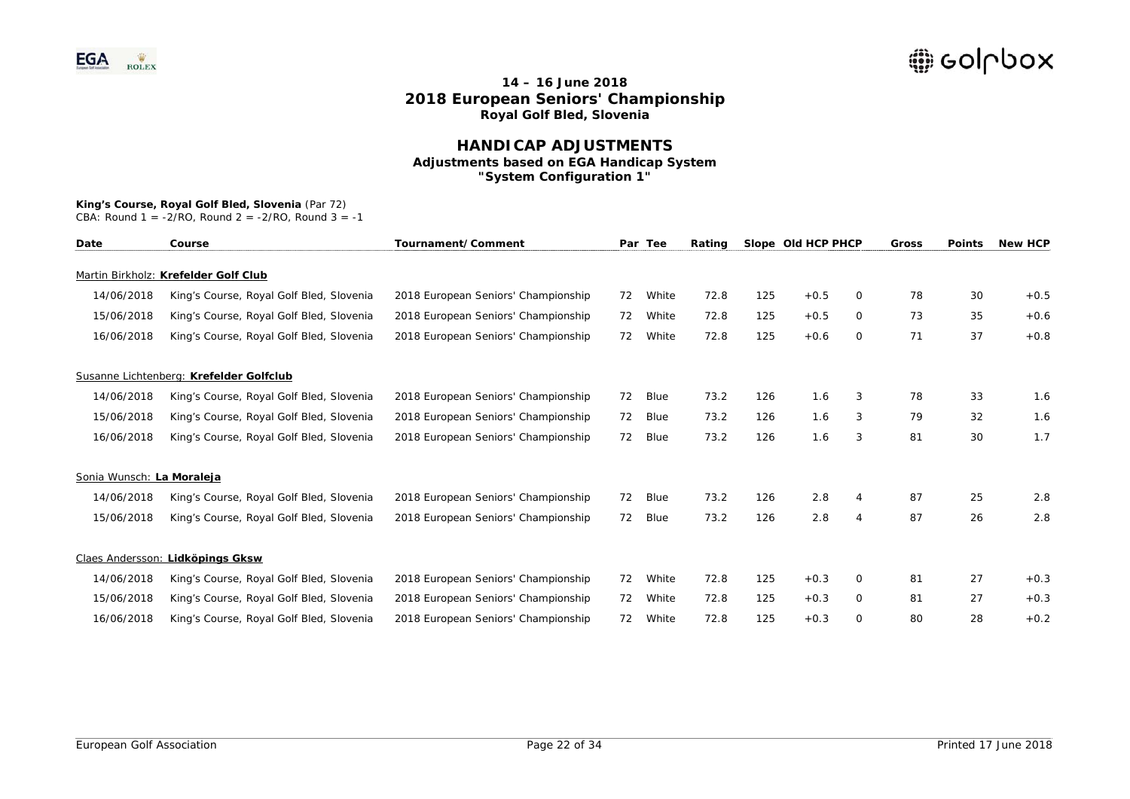### **HANDICAP ADJUSTMENTS Adjustments based on EGA Handicap System "System Configuration 1"**

## **King's Course, Royal Golf Bled, Slovenia** (Par 72)

| Date                      | Course                                   | Tournament/Comment                  |    | Par Tee | Rating |     | Slope Old HCP PHCP |                | Gross | <b>Points</b> | <b>New HCP</b> |
|---------------------------|------------------------------------------|-------------------------------------|----|---------|--------|-----|--------------------|----------------|-------|---------------|----------------|
|                           | Martin Birkholz: Krefelder Golf Club     |                                     |    |         |        |     |                    |                |       |               |                |
| 14/06/2018                | King's Course, Royal Golf Bled, Slovenia | 2018 European Seniors' Championship | 72 | White   | 72.8   | 125 | $+0.5$             | 0              | 78    | 30            | $+0.5$         |
| 15/06/2018                | King's Course, Royal Golf Bled, Slovenia | 2018 European Seniors' Championship | 72 | White   | 72.8   | 125 | $+0.5$             | 0              | 73    | 35            | $+0.6$         |
| 16/06/2018                | King's Course, Royal Golf Bled, Slovenia | 2018 European Seniors' Championship | 72 | White   | 72.8   | 125 | $+0.6$             | 0              | 71    | 37            | $+0.8$         |
|                           | Susanne Lichtenberg: Krefelder Golfclub  |                                     |    |         |        |     |                    |                |       |               |                |
| 14/06/2018                | King's Course, Royal Golf Bled, Slovenia | 2018 European Seniors' Championship | 72 | Blue    | 73.2   | 126 | 1.6                | 3              | 78    | 33            | 1.6            |
| 15/06/2018                | King's Course, Royal Golf Bled, Slovenia | 2018 European Seniors' Championship | 72 | Blue    | 73.2   | 126 | 1.6                | 3              | 79    | 32            | 1.6            |
| 16/06/2018                | King's Course, Royal Golf Bled, Slovenia | 2018 European Seniors' Championship | 72 | Blue    | 73.2   | 126 | 1.6                | 3              | 81    | 30            | 1.7            |
| Sonia Wunsch: La Moraleja |                                          |                                     |    |         |        |     |                    |                |       |               |                |
| 14/06/2018                | King's Course, Royal Golf Bled, Slovenia | 2018 European Seniors' Championship | 72 | Blue    | 73.2   | 126 | 2.8                | 4              | 87    | 25            | 2.8            |
| 15/06/2018                | King's Course, Royal Golf Bled, Slovenia | 2018 European Seniors' Championship | 72 | Blue    | 73.2   | 126 | 2.8                | $\overline{4}$ | 87    | 26            | 2.8            |
|                           | Claes Andersson: Lidköpings Gksw         |                                     |    |         |        |     |                    |                |       |               |                |
| 14/06/2018                | King's Course, Royal Golf Bled, Slovenia | 2018 European Seniors' Championship | 72 | White   | 72.8   | 125 | $+0.3$             | 0              | 81    | 27            | $+0.3$         |
| 15/06/2018                | King's Course, Royal Golf Bled, Slovenia | 2018 European Seniors' Championship | 72 | White   | 72.8   | 125 | $+0.3$             | 0              | 81    | 27            | $+0.3$         |
| 16/06/2018                | King's Course, Royal Golf Bled, Slovenia | 2018 European Seniors' Championship | 72 | White   | 72.8   | 125 | $+0.3$             | 0              | 80    | 28            | $+0.2$         |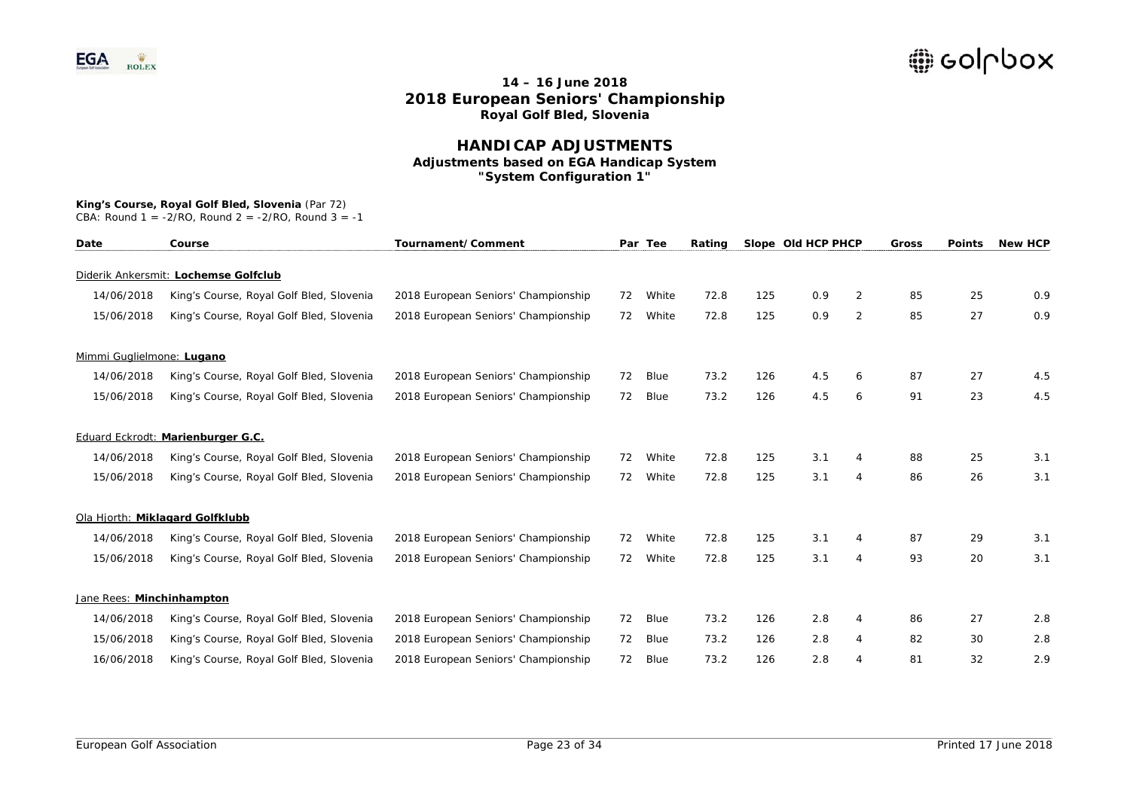### **HANDICAP ADJUSTMENTS Adjustments based on EGA Handicap System "System Configuration 1"**

#### **King's Course, Royal Golf Bled, Slovenia** (Par 72)

| Date                      | Course                                   | Tournament/Comment                  |    | Par Tee | Rating |     | Slope Old HCP PHCP |                | Gross | <b>Points</b> | <b>New HCP</b> |
|---------------------------|------------------------------------------|-------------------------------------|----|---------|--------|-----|--------------------|----------------|-------|---------------|----------------|
|                           | Diderik Ankersmit: Lochemse Golfclub     |                                     |    |         |        |     |                    |                |       |               |                |
| 14/06/2018                | King's Course, Royal Golf Bled, Slovenia | 2018 European Seniors' Championship | 72 | White   | 72.8   | 125 | 0.9                | 2              | 85    | 25            | 0.9            |
| 15/06/2018                | King's Course, Royal Golf Bled, Slovenia | 2018 European Seniors' Championship | 72 | White   | 72.8   | 125 | 0.9                | $\overline{2}$ | 85    | 27            | 0.9            |
| Mimmi Guglielmone: Lugano |                                          |                                     |    |         |        |     |                    |                |       |               |                |
| 14/06/2018                | King's Course, Royal Golf Bled, Slovenia | 2018 European Seniors' Championship | 72 | Blue    | 73.2   | 126 | 4.5                | 6              | 87    | 27            | 4.5            |
| 15/06/2018                | King's Course, Royal Golf Bled, Slovenia | 2018 European Seniors' Championship | 72 | Blue    | 73.2   | 126 | 4.5                | 6              | 91    | 23            | 4.5            |
|                           | Eduard Eckrodt: Marienburger G.C.        |                                     |    |         |        |     |                    |                |       |               |                |
| 14/06/2018                | King's Course, Royal Golf Bled, Slovenia | 2018 European Seniors' Championship | 72 | White   | 72.8   | 125 | 3.1                | 4              | 88    | 25            | 3.1            |
| 15/06/2018                | King's Course, Royal Golf Bled, Slovenia | 2018 European Seniors' Championship | 72 | White   | 72.8   | 125 | 3.1                | 4              | 86    | 26            | 3.1            |
|                           | Ola Hjorth: Miklagard Golfklubb          |                                     |    |         |        |     |                    |                |       |               |                |
| 14/06/2018                | King's Course, Royal Golf Bled, Slovenia | 2018 European Seniors' Championship | 72 | White   | 72.8   | 125 | 3.1                | 4              | 87    | 29            | 3.1            |
| 15/06/2018                | King's Course, Royal Golf Bled, Slovenia | 2018 European Seniors' Championship | 72 | White   | 72.8   | 125 | 3.1                | 4              | 93    | 20            | 3.1            |
| Jane Rees: Minchinhampton |                                          |                                     |    |         |        |     |                    |                |       |               |                |
| 14/06/2018                | King's Course, Royal Golf Bled, Slovenia | 2018 European Seniors' Championship | 72 | Blue    | 73.2   | 126 | 2.8                | 4              | 86    | 27            | 2.8            |
| 15/06/2018                | King's Course, Royal Golf Bled, Slovenia | 2018 European Seniors' Championship | 72 | Blue    | 73.2   | 126 | 2.8                | 4              | 82    | 30            | 2.8            |
| 16/06/2018                | King's Course, Royal Golf Bled, Slovenia | 2018 European Seniors' Championship | 72 | Blue    | 73.2   | 126 | 2.8                |                | 81    | 32            | 2.9            |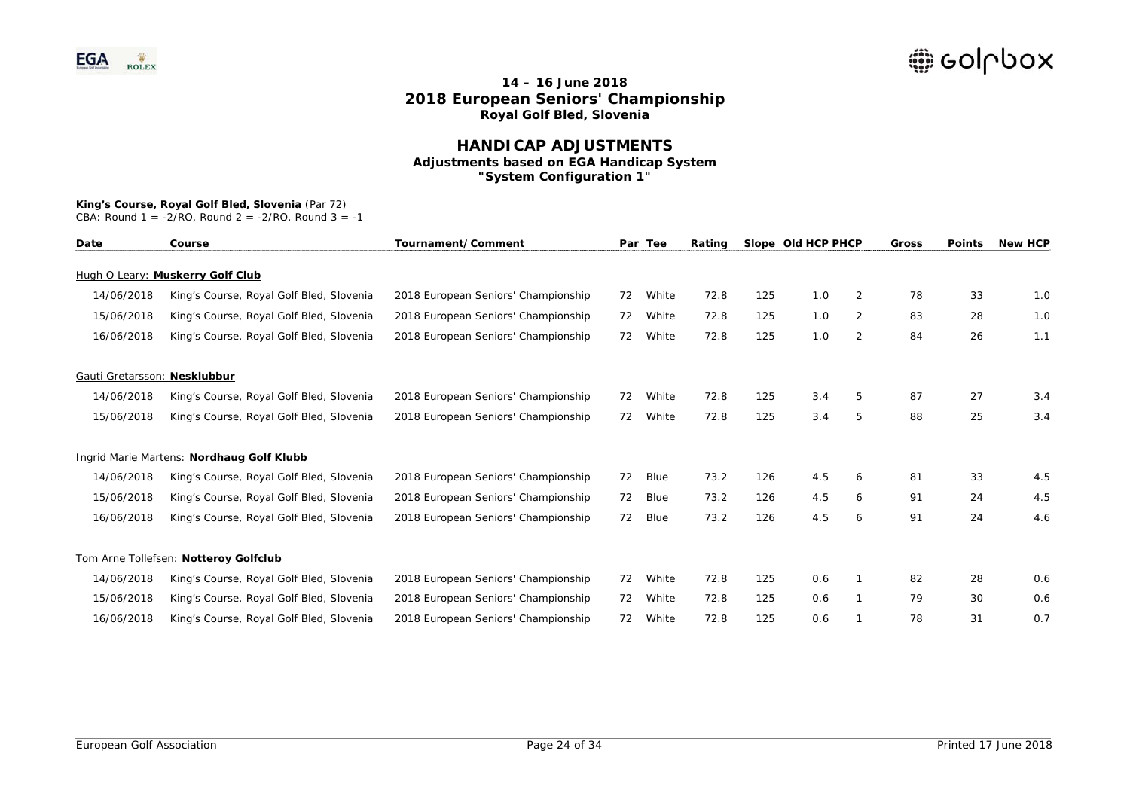### **HANDICAP ADJUSTMENTS Adjustments based on EGA Handicap System "System Configuration 1"**

# **King's Course, Royal Golf Bled, Slovenia** (Par 72)

| Date                         | Course                                    | Tournament/Comment                  | Par | Tee   | Rating |     | Slope Old HCP PHCP |   | Gross | <b>Points</b> | <b>New HCP</b> |
|------------------------------|-------------------------------------------|-------------------------------------|-----|-------|--------|-----|--------------------|---|-------|---------------|----------------|
|                              | Hugh O Leary: Muskerry Golf Club          |                                     |     |       |        |     |                    |   |       |               |                |
| 14/06/2018                   | King's Course, Royal Golf Bled, Slovenia  | 2018 European Seniors' Championship | 72  | White | 72.8   | 125 | 1.0                | 2 | 78    | 33            | 1.0            |
| 15/06/2018                   | King's Course, Royal Golf Bled, Slovenia  | 2018 European Seniors' Championship | 72  | White | 72.8   | 125 | 1.0                | 2 | 83    | 28            | 1.0            |
| 16/06/2018                   | King's Course, Royal Golf Bled, Slovenia  | 2018 European Seniors' Championship | 72  | White | 72.8   | 125 | 1.0                | 2 | 84    | 26            | 1.1            |
| Gauti Gretarsson: Nesklubbur |                                           |                                     |     |       |        |     |                    |   |       |               |                |
| 14/06/2018                   | King's Course, Royal Golf Bled, Slovenia  | 2018 European Seniors' Championship | 72  | White | 72.8   | 125 | 3.4                | 5 | 87    | 27            | 3.4            |
| 15/06/2018                   | King's Course, Royal Golf Bled, Slovenia  | 2018 European Seniors' Championship | 72  | White | 72.8   | 125 | 3.4                | 5 | 88    | 25            | 3.4            |
|                              | Ingrid Marie Martens: Nordhaug Golf Klubb |                                     |     |       |        |     |                    |   |       |               |                |
| 14/06/2018                   | King's Course, Royal Golf Bled, Slovenia  | 2018 European Seniors' Championship | 72  | Blue  | 73.2   | 126 | 4.5                | 6 | 81    | 33            | 4.5            |
| 15/06/2018                   | King's Course, Royal Golf Bled, Slovenia  | 2018 European Seniors' Championship | 72  | Blue  | 73.2   | 126 | 4.5                | 6 | 91    | 24            | 4.5            |
| 16/06/2018                   | King's Course, Royal Golf Bled, Slovenia  | 2018 European Seniors' Championship | 72  | Blue  | 73.2   | 126 | 4.5                | 6 | 91    | 24            | 4.6            |
|                              | Tom Arne Tollefsen: Notteroy Golfclub     |                                     |     |       |        |     |                    |   |       |               |                |
| 14/06/2018                   | King's Course, Royal Golf Bled, Slovenia  | 2018 European Seniors' Championship | 72  | White | 72.8   | 125 | 0.6                |   | 82    | 28            | 0.6            |
| 15/06/2018                   | King's Course, Royal Golf Bled, Slovenia  | 2018 European Seniors' Championship | 72  | White | 72.8   | 125 | 0.6                |   | 79    | 30            | 0.6            |
| 16/06/2018                   | King's Course, Royal Golf Bled, Slovenia  | 2018 European Seniors' Championship | 72  | White | 72.8   | 125 | 0.6                |   | 78    | 31            | 0.7            |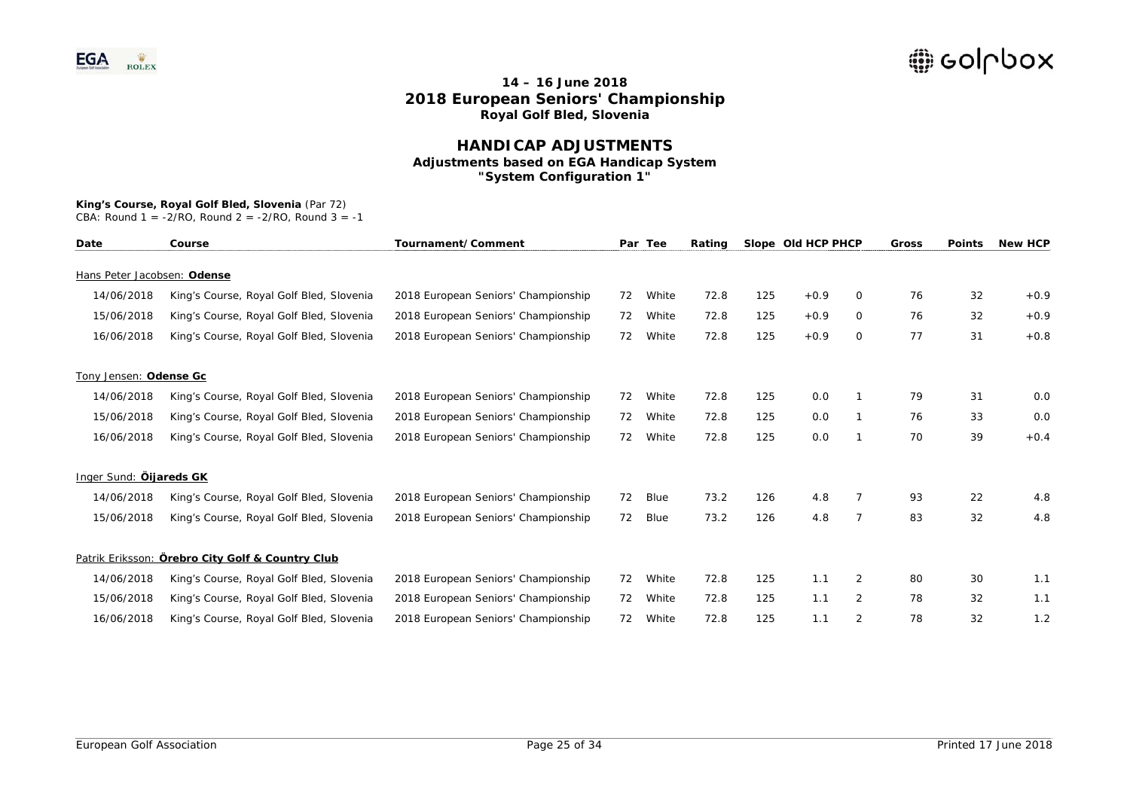### **HANDICAP ADJUSTMENTS Adjustments based on EGA Handicap System "System Configuration 1"**

# **King's Course, Royal Golf Bled, Slovenia** (Par 72)

| Date                        | Course                                           | Tournament/Comment                  |    | Par Tee | Rating |     | Slope Old HCP PHCP |              | Gross | <b>Points</b> | <b>New HCP</b> |
|-----------------------------|--------------------------------------------------|-------------------------------------|----|---------|--------|-----|--------------------|--------------|-------|---------------|----------------|
| Hans Peter Jacobsen: Odense |                                                  |                                     |    |         |        |     |                    |              |       |               |                |
| 14/06/2018                  | King's Course, Royal Golf Bled, Slovenia         | 2018 European Seniors' Championship | 72 | White   | 72.8   | 125 | $+0.9$             | $\Omega$     | 76    | 32            | $+0.9$         |
| 15/06/2018                  | King's Course, Royal Golf Bled, Slovenia         | 2018 European Seniors' Championship | 72 | White   | 72.8   | 125 | $+0.9$             | 0            | 76    | 32            | $+0.9$         |
| 16/06/2018                  | King's Course, Royal Golf Bled, Slovenia         | 2018 European Seniors' Championship | 72 | White   | 72.8   | 125 | $+0.9$             | $\mathbf{O}$ | 77    | 31            | $+0.8$         |
| Tony Jensen: Odense Gc      |                                                  |                                     |    |         |        |     |                    |              |       |               |                |
| 14/06/2018                  | King's Course, Royal Golf Bled, Slovenia         | 2018 European Seniors' Championship | 72 | White   | 72.8   | 125 | 0.0                |              | 79    | 31            | 0.0            |
| 15/06/2018                  | King's Course, Royal Golf Bled, Slovenia         | 2018 European Seniors' Championship | 72 | White   | 72.8   | 125 | 0.0                |              | 76    | 33            | 0.0            |
| 16/06/2018                  | King's Course, Royal Golf Bled, Slovenia         | 2018 European Seniors' Championship | 72 | White   | 72.8   | 125 | 0.0                | 1            | 70    | 39            | $+0.4$         |
| Inger Sund: Öljareds GK     |                                                  |                                     |    |         |        |     |                    |              |       |               |                |
| 14/06/2018                  | King's Course, Royal Golf Bled, Slovenia         | 2018 European Seniors' Championship | 72 | Blue    | 73.2   | 126 | 4.8                |              | 93    | 22            | 4.8            |
| 15/06/2018                  | King's Course, Royal Golf Bled, Slovenia         | 2018 European Seniors' Championship | 72 | Blue    | 73.2   | 126 | 4.8                | 7            | 83    | 32            | 4.8            |
|                             | Patrik Eriksson: Örebro City Golf & Country Club |                                     |    |         |        |     |                    |              |       |               |                |
| 14/06/2018                  | King's Course, Royal Golf Bled, Slovenia         | 2018 European Seniors' Championship | 72 | White   | 72.8   | 125 | 1.1                | 2            | 80    | 30            | 1.1            |
| 15/06/2018                  | King's Course, Royal Golf Bled, Slovenia         | 2018 European Seniors' Championship | 72 | White   | 72.8   | 125 | 1.1                | 2            | 78    | 32            | 1.1            |
| 16/06/2018                  | King's Course, Royal Golf Bled, Slovenia         | 2018 European Seniors' Championship | 72 | White   | 72.8   | 125 | 1.1                | 2            | 78    | 32            | 1.2            |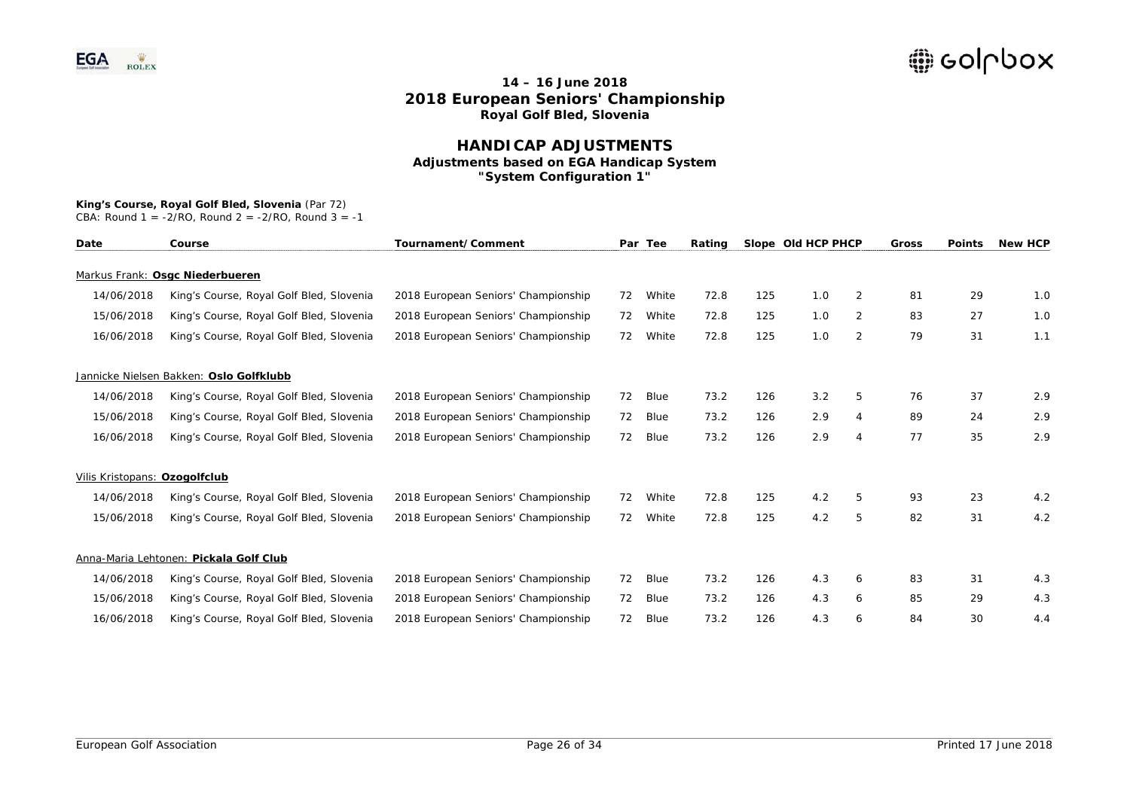### **HANDICAP ADJUSTMENTS Adjustments based on EGA Handicap System "System Configuration 1"**

### **King's Course, Royal Golf Bled, Slovenia** (Par 72)

| Date                          | Course                                   | Tournament/Comment                  |    | Par Tee | Rating |     | Slope Old HCP PHCP |                | Gross | <b>Points</b> | <b>New HCP</b> |
|-------------------------------|------------------------------------------|-------------------------------------|----|---------|--------|-----|--------------------|----------------|-------|---------------|----------------|
|                               | Markus Frank: Osgc Niederbueren          |                                     |    |         |        |     |                    |                |       |               |                |
| 14/06/2018                    | King's Course, Royal Golf Bled, Slovenia | 2018 European Seniors' Championship | 72 | White   | 72.8   | 125 | 1.0                | 2              | 81    | 29            | 1.0            |
| 15/06/2018                    | King's Course, Royal Golf Bled, Slovenia | 2018 European Seniors' Championship | 72 | White   | 72.8   | 125 | 1.0                | $\overline{2}$ | 83    | 27            | 1.0            |
| 16/06/2018                    | King's Course, Royal Golf Bled, Slovenia | 2018 European Seniors' Championship | 72 | White   | 72.8   | 125 | 1.0                | 2              | 79    | 31            | 1.1            |
|                               | Jannicke Nielsen Bakken: Oslo Golfklubb  |                                     |    |         |        |     |                    |                |       |               |                |
| 14/06/2018                    | King's Course, Royal Golf Bled, Slovenia | 2018 European Seniors' Championship | 72 | Blue    | 73.2   | 126 | 3.2                | 5              | 76    | 37            | 2.9            |
| 15/06/2018                    | King's Course, Royal Golf Bled, Slovenia | 2018 European Seniors' Championship | 72 | Blue    | 73.2   | 126 | 2.9                | 4              | 89    | 24            | 2.9            |
| 16/06/2018                    | King's Course, Royal Golf Bled, Slovenia | 2018 European Seniors' Championship | 72 | Blue    | 73.2   | 126 | 2.9                | $\overline{4}$ | 77    | 35            | 2.9            |
| Vilis Kristopans: Ozogolfclub |                                          |                                     |    |         |        |     |                    |                |       |               |                |
| 14/06/2018                    | King's Course, Royal Golf Bled, Slovenia | 2018 European Seniors' Championship | 72 | White   | 72.8   | 125 | 4.2                | 5              | 93    | 23            | 4.2            |
| 15/06/2018                    | King's Course, Royal Golf Bled, Slovenia | 2018 European Seniors' Championship | 72 | White   | 72.8   | 125 | 4.2                | 5              | 82    | 31            | 4.2            |
|                               | Anna-Maria Lehtonen: Pickala Golf Club   |                                     |    |         |        |     |                    |                |       |               |                |
| 14/06/2018                    | King's Course, Royal Golf Bled, Slovenia | 2018 European Seniors' Championship | 72 | Blue    | 73.2   | 126 | 4.3                | 6              | 83    | 31            | 4.3            |
| 15/06/2018                    | King's Course, Royal Golf Bled, Slovenia | 2018 European Seniors' Championship | 72 | Blue    | 73.2   | 126 | 4.3                | 6              | 85    | 29            | 4.3            |
| 16/06/2018                    | King's Course, Royal Golf Bled, Slovenia | 2018 European Seniors' Championship | 72 | Blue    | 73.2   | 126 | 4.3                | 6              | 84    | 30            | 4.4            |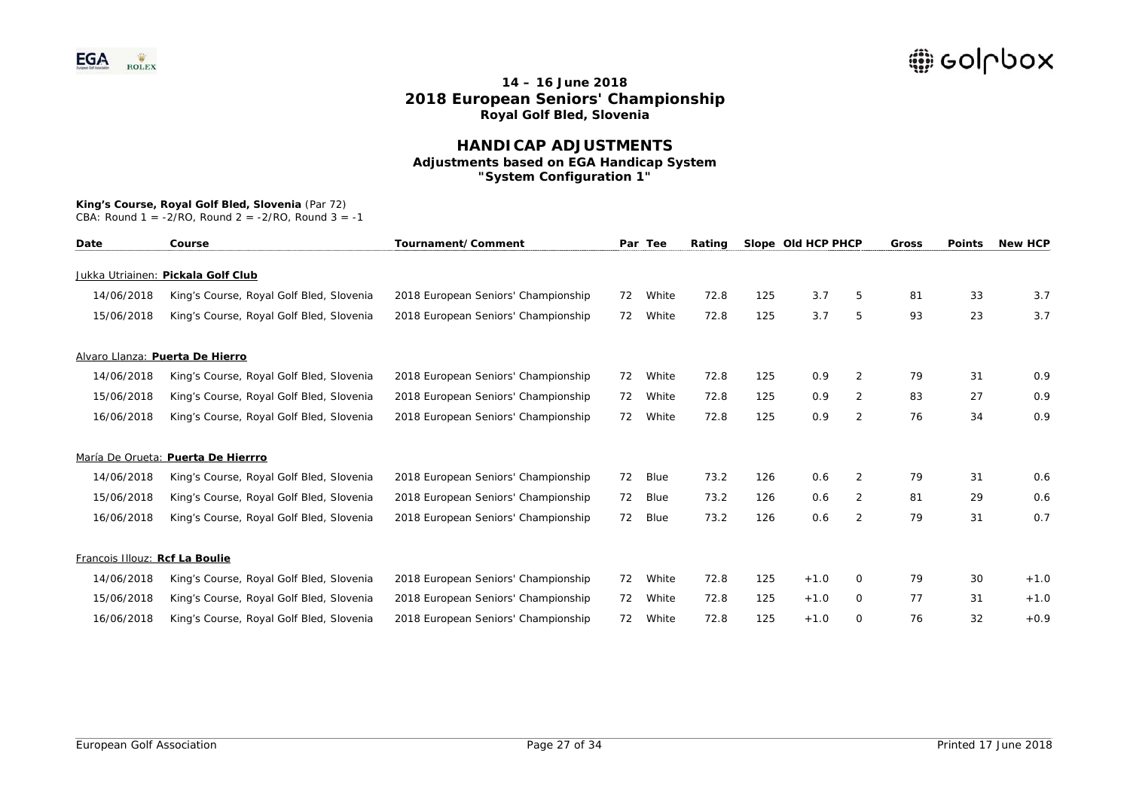### **HANDICAP ADJUSTMENTS Adjustments based on EGA Handicap System "System Configuration 1"**

#### **King's Course, Royal Golf Bled, Slovenia** (Par 72)

| Date                           | Course                                   | Tournament/Comment                  |    | Par Tee | Rating |     | Slope Old HCP PHCP |                | Gross | <b>Points</b> | <b>New HCP</b> |
|--------------------------------|------------------------------------------|-------------------------------------|----|---------|--------|-----|--------------------|----------------|-------|---------------|----------------|
|                                | Jukka Utriainen: Pickala Golf Club       |                                     |    |         |        |     |                    |                |       |               |                |
| 14/06/2018                     | King's Course, Royal Golf Bled, Slovenia | 2018 European Seniors' Championship | 72 | White   | 72.8   | 125 | 3.7                | 5              | 81    | 33            | 3.7            |
| 15/06/2018                     | King's Course, Royal Golf Bled, Slovenia | 2018 European Seniors' Championship | 72 | White   | 72.8   | 125 | 3.7                | 5              | 93    | 23            | 3.7            |
|                                | Alvaro Llanza: Puerta De Hierro          |                                     |    |         |        |     |                    |                |       |               |                |
| 14/06/2018                     | King's Course, Royal Golf Bled, Slovenia | 2018 European Seniors' Championship | 72 | White   | 72.8   | 125 | 0.9                | 2              | 79    | 31            | 0.9            |
| 15/06/2018                     | King's Course, Royal Golf Bled, Slovenia | 2018 European Seniors' Championship | 72 | White   | 72.8   | 125 | 0.9                | 2              | 83    | 27            | 0.9            |
| 16/06/2018                     | King's Course, Royal Golf Bled, Slovenia | 2018 European Seniors' Championship | 72 | White   | 72.8   | 125 | 0.9                | $\overline{2}$ | 76    | 34            | 0.9            |
|                                | María De Orueta: Puerta De Hierrro       |                                     |    |         |        |     |                    |                |       |               |                |
| 14/06/2018                     | King's Course, Royal Golf Bled, Slovenia | 2018 European Seniors' Championship | 72 | Blue    | 73.2   | 126 | 0.6                | 2              | 79    | 31            | 0.6            |
| 15/06/2018                     | King's Course, Royal Golf Bled, Slovenia | 2018 European Seniors' Championship | 72 | Blue    | 73.2   | 126 | 0.6                | 2              | 81    | 29            | 0.6            |
| 16/06/2018                     | King's Course, Royal Golf Bled, Slovenia | 2018 European Seniors' Championship | 72 | Blue    | 73.2   | 126 | 0.6                | 2              | 79    | 31            | 0.7            |
| Francois Illouz: Rcf La Boulie |                                          |                                     |    |         |        |     |                    |                |       |               |                |
| 14/06/2018                     | King's Course, Royal Golf Bled, Slovenia | 2018 European Seniors' Championship | 72 | White   | 72.8   | 125 | $+1.0$             | $\Omega$       | 79    | 30            | $+1.0$         |
| 15/06/2018                     | King's Course, Royal Golf Bled, Slovenia | 2018 European Seniors' Championship | 72 | White   | 72.8   | 125 | $+1.0$             | 0              | 77    | 31            | $+1.0$         |
| 16/06/2018                     | King's Course, Royal Golf Bled, Slovenia | 2018 European Seniors' Championship | 72 | White   | 72.8   | 125 | $+1.0$             | 0              | 76    | 32            | $+0.9$         |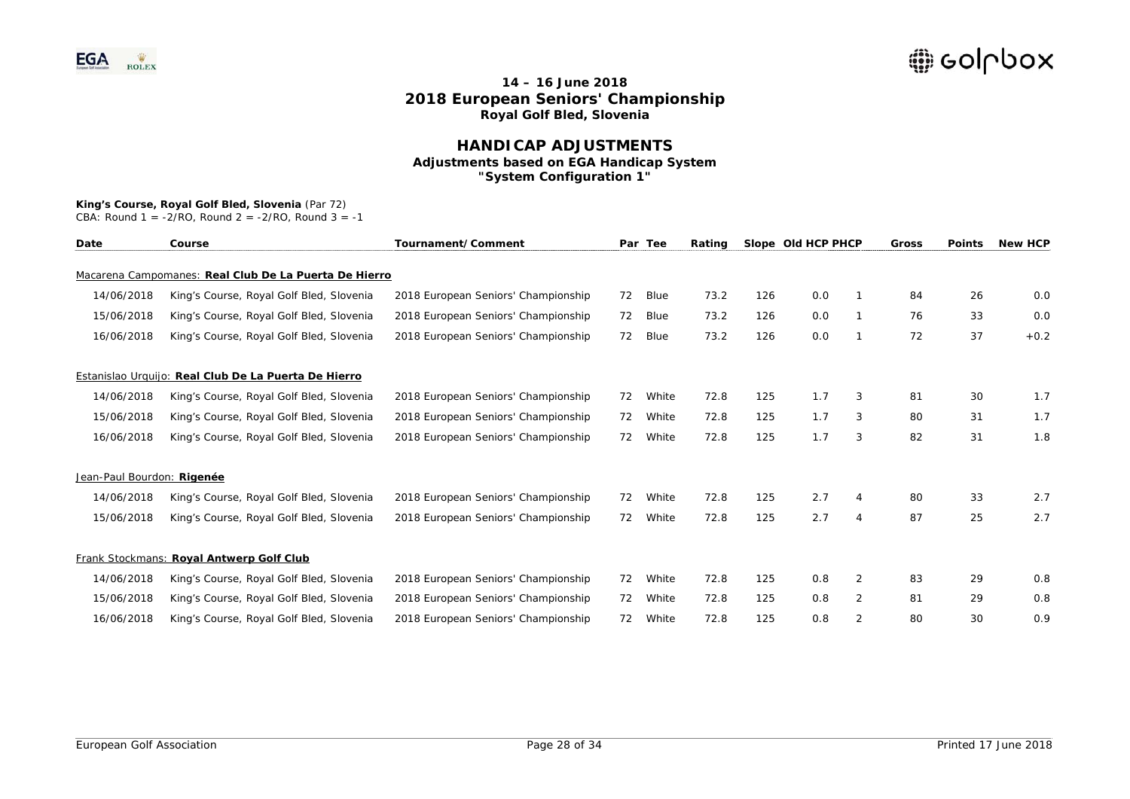### **HANDICAP ADJUSTMENTS Adjustments based on EGA Handicap System "System Configuration 1"**

#### **King's Course, Royal Golf Bled, Slovenia** (Par 72)

| Date                       | Course                                                | Tournament/Comment                  |    | Par Tee | Rating |     | Slope Old HCP PHCP |                | Gross | <b>Points</b> | <b>New HCP</b> |
|----------------------------|-------------------------------------------------------|-------------------------------------|----|---------|--------|-----|--------------------|----------------|-------|---------------|----------------|
|                            | Macarena Campomanes: Real Club De La Puerta De Hierro |                                     |    |         |        |     |                    |                |       |               |                |
| 14/06/2018                 | King's Course, Royal Golf Bled, Slovenia              | 2018 European Seniors' Championship | 72 | Blue    | 73.2   | 126 | 0.0                |                | 84    | 26            | 0.0            |
| 15/06/2018                 | King's Course, Royal Golf Bled, Slovenia              | 2018 European Seniors' Championship | 72 | Blue    | 73.2   | 126 | 0.0                |                | 76    | 33            | 0.0            |
| 16/06/2018                 | King's Course, Royal Golf Bled, Slovenia              | 2018 European Seniors' Championship | 72 | Blue    | 73.2   | 126 | 0.0                |                | 72    | 37            | $+0.2$         |
|                            | Estanislao Urquijo: Real Club De La Puerta De Hierro  |                                     |    |         |        |     |                    |                |       |               |                |
| 14/06/2018                 | King's Course, Royal Golf Bled, Slovenia              | 2018 European Seniors' Championship | 72 | White   | 72.8   | 125 | 1.7                | 3              | 81    | 30            | 1.7            |
| 15/06/2018                 | King's Course, Royal Golf Bled, Slovenia              | 2018 European Seniors' Championship | 72 | White   | 72.8   | 125 | 1.7                | 3              | 80    | 31            | 1.7            |
| 16/06/2018                 | King's Course, Royal Golf Bled, Slovenia              | 2018 European Seniors' Championship | 72 | White   | 72.8   | 125 | 1.7                | 3              | 82    | 31            | 1.8            |
| Jean-Paul Bourdon: Rigenée |                                                       |                                     |    |         |        |     |                    |                |       |               |                |
| 14/06/2018                 | King's Course, Royal Golf Bled, Slovenia              | 2018 European Seniors' Championship | 72 | White   | 72.8   | 125 | 2.7                | 4              | 80    | 33            | 2.7            |
| 15/06/2018                 | King's Course, Royal Golf Bled, Slovenia              | 2018 European Seniors' Championship | 72 | White   | 72.8   | 125 | 2.7                | $\overline{4}$ | 87    | 25            | 2.7            |
|                            | Frank Stockmans: Royal Antwerp Golf Club              |                                     |    |         |        |     |                    |                |       |               |                |
| 14/06/2018                 | King's Course, Royal Golf Bled, Slovenia              | 2018 European Seniors' Championship | 72 | White   | 72.8   | 125 | 0.8                | $\overline{2}$ | 83    | 29            | 0.8            |
| 15/06/2018                 | King's Course, Royal Golf Bled, Slovenia              | 2018 European Seniors' Championship | 72 | White   | 72.8   | 125 | 0.8                | $\overline{2}$ | 81    | 29            | 0.8            |
| 16/06/2018                 | King's Course, Royal Golf Bled, Slovenia              | 2018 European Seniors' Championship | 72 | White   | 72.8   | 125 | 0.8                | 2              | 80    | 30            | 0.9            |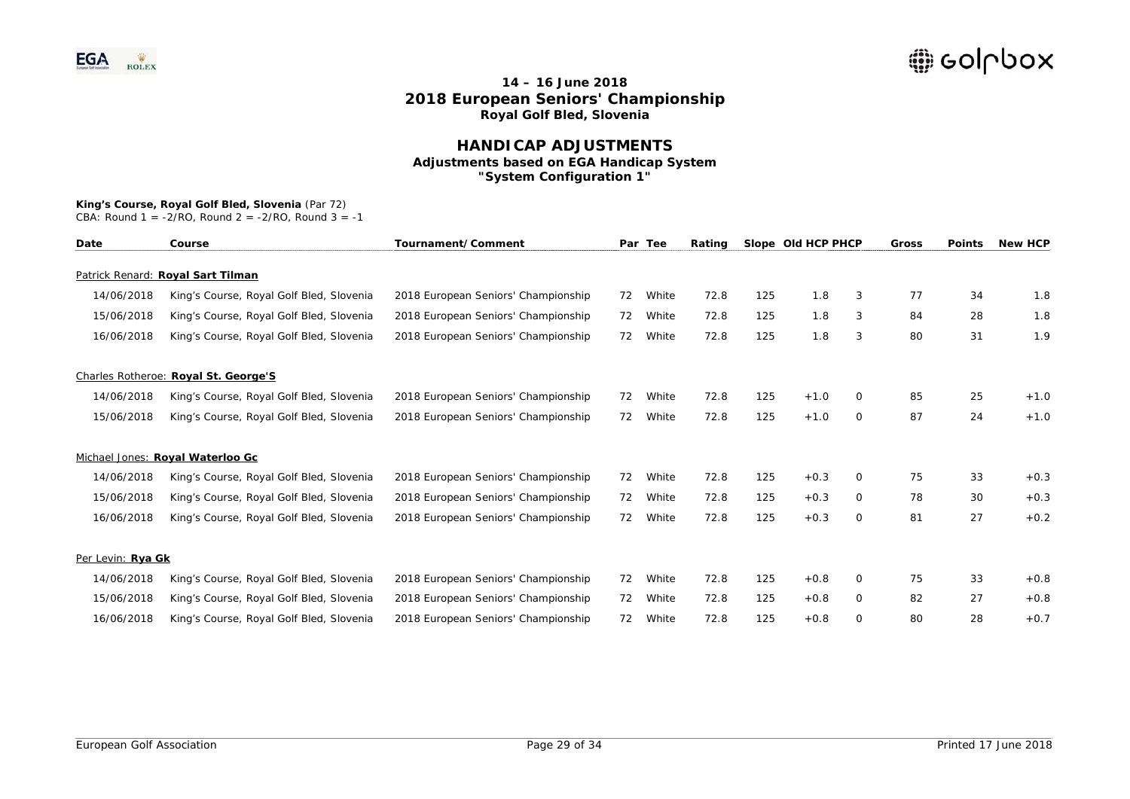### **HANDICAP ADJUSTMENTS Adjustments based on EGA Handicap System "System Configuration 1"**

# **King's Course, Royal Golf Bled, Slovenia** (Par 72)

| Date              | Course                                   | Tournament/Comment                  |    | Par Tee | Rating |     | Slope Old HCP PHCP |              | Gross | <b>Points</b> | <b>New HCP</b> |
|-------------------|------------------------------------------|-------------------------------------|----|---------|--------|-----|--------------------|--------------|-------|---------------|----------------|
|                   | Patrick Renard: Royal Sart Tilman        |                                     |    |         |        |     |                    |              |       |               |                |
| 14/06/2018        | King's Course, Royal Golf Bled, Slovenia | 2018 European Seniors' Championship | 72 | White   | 72.8   | 125 | 1.8                | 3            | 77    | 34            | 1.8            |
| 15/06/2018        | King's Course, Royal Golf Bled, Slovenia | 2018 European Seniors' Championship | 72 | White   | 72.8   | 125 | 1.8                | 3            | 84    | 28            | 1.8            |
| 16/06/2018        | King's Course, Royal Golf Bled, Slovenia | 2018 European Seniors' Championship | 72 | White   | 72.8   | 125 | 1.8                | 3            | 80    | 31            | 1.9            |
|                   | Charles Rotheroe: Royal St. George'S     |                                     |    |         |        |     |                    |              |       |               |                |
| 14/06/2018        | King's Course, Royal Golf Bled, Slovenia | 2018 European Seniors' Championship | 72 | White   | 72.8   | 125 | $+1.0$             | 0            | 85    | 25            | $+1.0$         |
| 15/06/2018        | King's Course, Royal Golf Bled, Slovenia | 2018 European Seniors' Championship | 72 | White   | 72.8   | 125 | $+1.0$             | 0            | 87    | 24            | $+1.0$         |
|                   | Michael Jones: Royal Waterloo Gc         |                                     |    |         |        |     |                    |              |       |               |                |
| 14/06/2018        | King's Course, Royal Golf Bled, Slovenia | 2018 European Seniors' Championship | 72 | White   | 72.8   | 125 | $+0.3$             | 0            | 75    | 33            | $+0.3$         |
| 15/06/2018        | King's Course, Royal Golf Bled, Slovenia | 2018 European Seniors' Championship | 72 | White   | 72.8   | 125 | $+0.3$             | 0            | 78    | 30            | $+0.3$         |
| 16/06/2018        | King's Course, Royal Golf Bled, Slovenia | 2018 European Seniors' Championship | 72 | White   | 72.8   | 125 | $+0.3$             | $\circ$      | 81    | 27            | $+0.2$         |
| Per Levin: Rya Gk |                                          |                                     |    |         |        |     |                    |              |       |               |                |
| 14/06/2018        | King's Course, Royal Golf Bled, Slovenia | 2018 European Seniors' Championship | 72 | White   | 72.8   | 125 | $+0.8$             | $\Omega$     | 75    | 33            | $+0.8$         |
| 15/06/2018        | King's Course, Royal Golf Bled, Slovenia | 2018 European Seniors' Championship | 72 | White   | 72.8   | 125 | $+0.8$             | $\mathbf{O}$ | 82    | 27            | $+0.8$         |
| 16/06/2018        | King's Course, Royal Golf Bled, Slovenia | 2018 European Seniors' Championship | 72 | White   | 72.8   | 125 | $+0.8$             | $\Omega$     | 80    | 28            | $+0.7$         |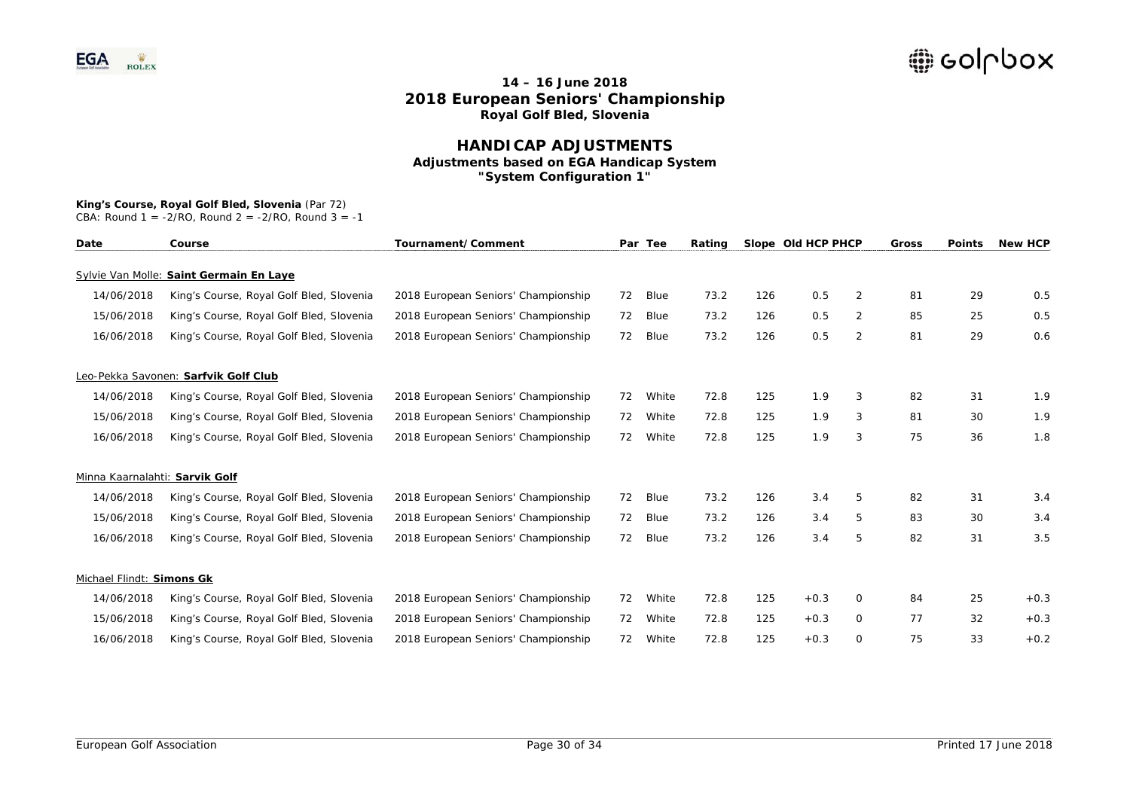### **HANDICAP ADJUSTMENTS Adjustments based on EGA Handicap System "System Configuration 1"**

## **King's Course, Royal Golf Bled, Slovenia** (Par 72)

| Date                           | Course                                   | Tournament/Comment                  |    | Par Tee | Rating |     | Slope Old HCP PHCP |                | Gross | <b>Points</b> | <b>New HCP</b> |
|--------------------------------|------------------------------------------|-------------------------------------|----|---------|--------|-----|--------------------|----------------|-------|---------------|----------------|
|                                | Sylvie Van Molle: Saint Germain En Laye  |                                     |    |         |        |     |                    |                |       |               |                |
| 14/06/2018                     | King's Course, Royal Golf Bled, Slovenia | 2018 European Seniors' Championship | 72 | Blue    | 73.2   | 126 | 0.5                | $\overline{2}$ | 81    | 29            | 0.5            |
| 15/06/2018                     | King's Course, Royal Golf Bled, Slovenia | 2018 European Seniors' Championship | 72 | Blue    | 73.2   | 126 | 0.5                | 2              | 85    | 25            | 0.5            |
| 16/06/2018                     | King's Course, Royal Golf Bled, Slovenia | 2018 European Seniors' Championship | 72 | Blue    | 73.2   | 126 | 0.5                | 2              | 81    | 29            | 0.6            |
|                                | Leo-Pekka Savonen: Sarfvik Golf Club     |                                     |    |         |        |     |                    |                |       |               |                |
| 14/06/2018                     | King's Course, Royal Golf Bled, Slovenia | 2018 European Seniors' Championship | 72 | White   | 72.8   | 125 | 1.9                | 3              | 82    | 31            | 1.9            |
| 15/06/2018                     | King's Course, Royal Golf Bled, Slovenia | 2018 European Seniors' Championship | 72 | White   | 72.8   | 125 | 1.9                | 3              | 81    | 30            | 1.9            |
| 16/06/2018                     | King's Course, Royal Golf Bled, Slovenia | 2018 European Seniors' Championship | 72 | White   | 72.8   | 125 | 1.9                | 3              | 75    | 36            | 1.8            |
| Minna Kaarnalahti: Sarvik Golf |                                          |                                     |    |         |        |     |                    |                |       |               |                |
| 14/06/2018                     | King's Course, Royal Golf Bled, Slovenia | 2018 European Seniors' Championship | 72 | Blue    | 73.2   | 126 | 3.4                | 5              | 82    | 31            | 3.4            |
| 15/06/2018                     | King's Course, Royal Golf Bled, Slovenia | 2018 European Seniors' Championship | 72 | Blue    | 73.2   | 126 | 3.4                | 5              | 83    | 30            | 3.4            |
| 16/06/2018                     | King's Course, Royal Golf Bled, Slovenia | 2018 European Seniors' Championship | 72 | Blue    | 73.2   | 126 | 3.4                | 5              | 82    | 31            | 3.5            |
| Michael Flindt: Simons Gk      |                                          |                                     |    |         |        |     |                    |                |       |               |                |
| 14/06/2018                     | King's Course, Royal Golf Bled, Slovenia | 2018 European Seniors' Championship | 72 | White   | 72.8   | 125 | $+0.3$             | 0              | 84    | 25            | $+0.3$         |
| 15/06/2018                     | King's Course, Royal Golf Bled, Slovenia | 2018 European Seniors' Championship | 72 | White   | 72.8   | 125 | $+0.3$             | $\mathbf{O}$   | 77    | 32            | $+0.3$         |
| 16/06/2018                     | King's Course, Royal Golf Bled, Slovenia | 2018 European Seniors' Championship | 72 | White   | 72.8   | 125 | $+0.3$             | 0              | 75    | 33            | $+0.2$         |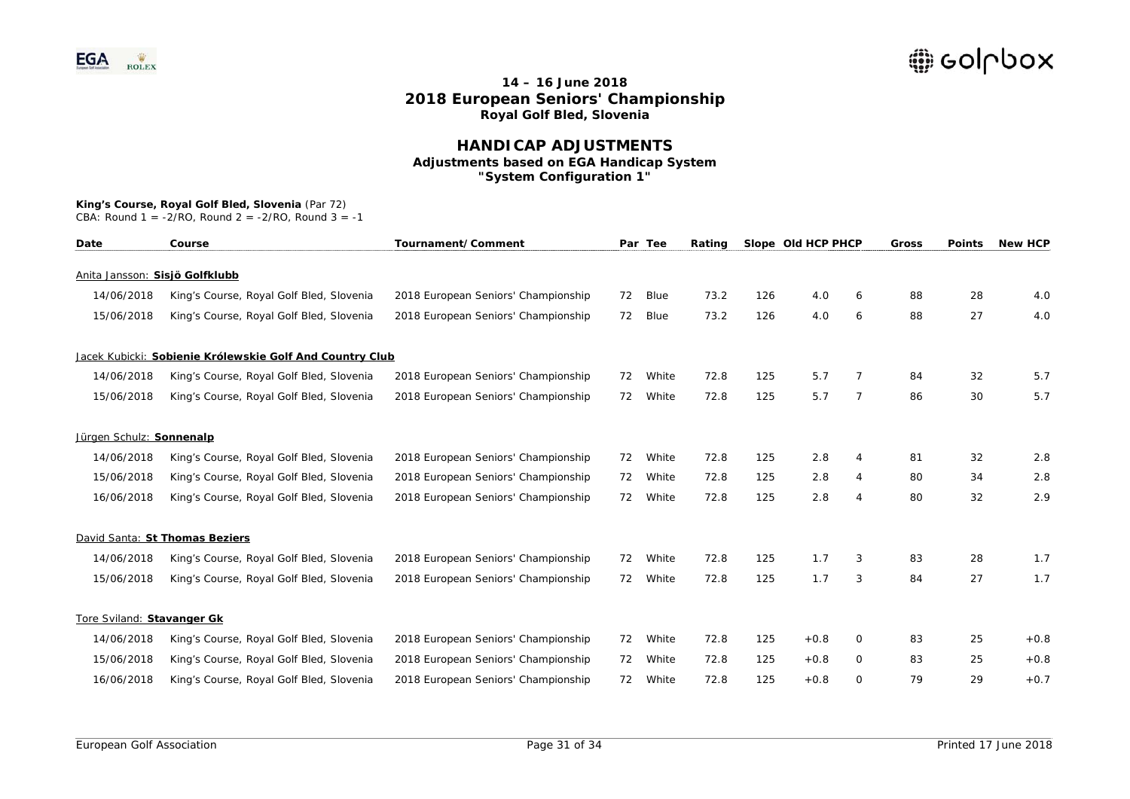### **HANDICAP ADJUSTMENTS Adjustments based on EGA Handicap System "System Configuration 1"**

#### **King's Course, Royal Golf Bled, Slovenia** (Par 72)

| Date                           | Course                                                   | Tournament/Comment                  |    | Par Tee | Rating |     | Slope Old HCP PHCP |                | <b>Gross</b> | <b>Points</b> | <b>New HCP</b> |
|--------------------------------|----------------------------------------------------------|-------------------------------------|----|---------|--------|-----|--------------------|----------------|--------------|---------------|----------------|
| Anita Jansson: Sisjö Golfklubb |                                                          |                                     |    |         |        |     |                    |                |              |               |                |
| 14/06/2018                     | King's Course, Royal Golf Bled, Slovenia                 | 2018 European Seniors' Championship | 72 | Blue    | 73.2   | 126 | 4.0                | 6              | 88           | 28            | 4.0            |
| 15/06/2018                     | King's Course, Royal Golf Bled, Slovenia                 | 2018 European Seniors' Championship | 72 | Blue    | 73.2   | 126 | 4.0                | 6              | 88           | 27            | 4.0            |
|                                | Jacek Kubicki: Sobienie Królewskie Golf And Country Club |                                     |    |         |        |     |                    |                |              |               |                |
| 14/06/2018                     | King's Course, Royal Golf Bled, Slovenia                 | 2018 European Seniors' Championship | 72 | White   | 72.8   | 125 | 5.7                | 7              | 84           | 32            | 5.7            |
| 15/06/2018                     | King's Course, Royal Golf Bled, Slovenia                 | 2018 European Seniors' Championship | 72 | White   | 72.8   | 125 | 5.7                | $\overline{7}$ | 86           | 30            | 5.7            |
| Jürgen Schulz: Sonnenalp       |                                                          |                                     |    |         |        |     |                    |                |              |               |                |
| 14/06/2018                     | King's Course, Royal Golf Bled, Slovenia                 | 2018 European Seniors' Championship | 72 | White   | 72.8   | 125 | 2.8                | 4              | 81           | 32            | 2.8            |
| 15/06/2018                     | King's Course, Royal Golf Bled, Slovenia                 | 2018 European Seniors' Championship | 72 | White   | 72.8   | 125 | 2.8                | 4              | 80           | 34            | 2.8            |
| 16/06/2018                     | King's Course, Royal Golf Bled, Slovenia                 | 2018 European Seniors' Championship | 72 | White   | 72.8   | 125 | 2.8                | 4              | 80           | 32            | 2.9            |
|                                | David Santa: St Thomas Beziers                           |                                     |    |         |        |     |                    |                |              |               |                |
| 14/06/2018                     | King's Course, Royal Golf Bled, Slovenia                 | 2018 European Seniors' Championship | 72 | White   | 72.8   | 125 | 1.7                | 3              | 83           | 28            | 1.7            |
| 15/06/2018                     | King's Course, Royal Golf Bled, Slovenia                 | 2018 European Seniors' Championship | 72 | White   | 72.8   | 125 | 1.7                | 3              | 84           | 27            | 1.7            |
| Tore Sviland: Stavanger Gk     |                                                          |                                     |    |         |        |     |                    |                |              |               |                |
| 14/06/2018                     | King's Course, Royal Golf Bled, Slovenia                 | 2018 European Seniors' Championship | 72 | White   | 72.8   | 125 | $+0.8$             | 0              | 83           | 25            | $+0.8$         |
| 15/06/2018                     | King's Course, Royal Golf Bled, Slovenia                 | 2018 European Seniors' Championship | 72 | White   | 72.8   | 125 | $+0.8$             | 0              | 83           | 25            | $+0.8$         |
| 16/06/2018                     | King's Course, Royal Golf Bled, Slovenia                 | 2018 European Seniors' Championship | 72 | White   | 72.8   | 125 | $+0.8$             | 0              | 79           | 29            | $+0.7$         |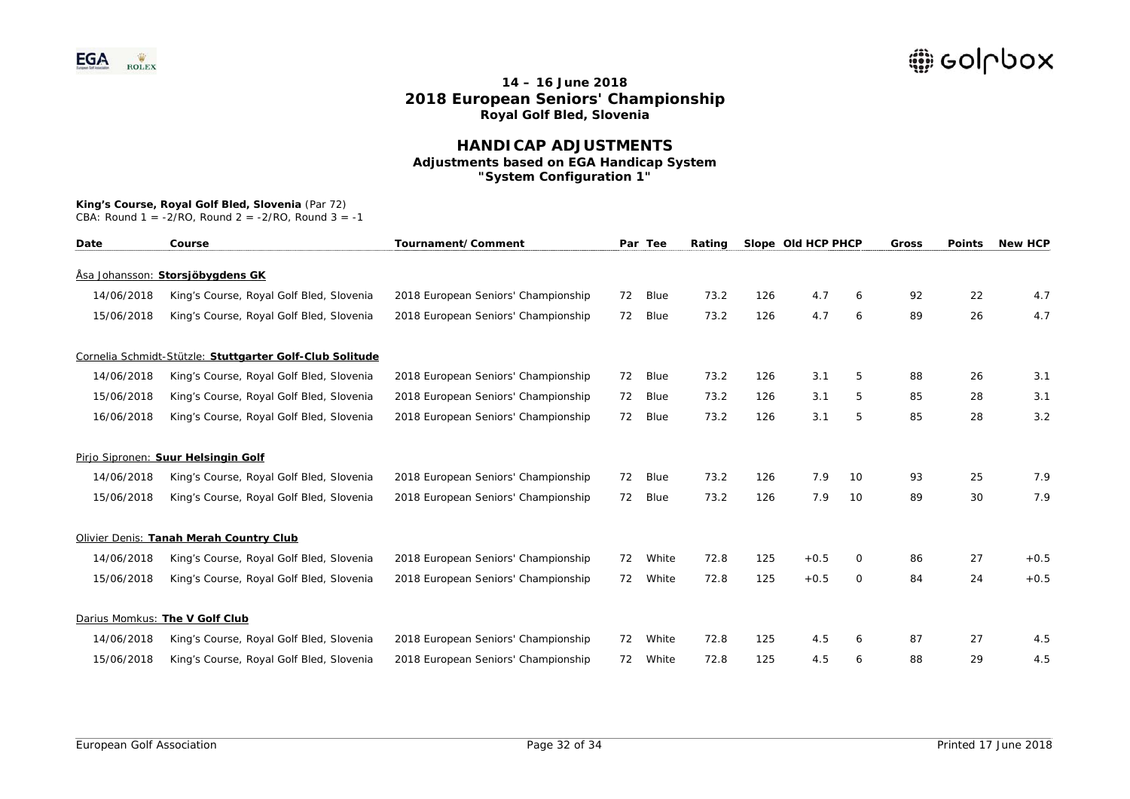### **HANDICAP ADJUSTMENTS Adjustments based on EGA Handicap System "System Configuration 1"**

#### **King's Course, Royal Golf Bled, Slovenia** (Par 72)

| Date       | Course                                                   | Tournament/Comment                  |    | Par Tee | Rating |     | Slope Old HCP PHCP |          | Gross | <b>Points</b> | <b>New HCP</b> |
|------------|----------------------------------------------------------|-------------------------------------|----|---------|--------|-----|--------------------|----------|-------|---------------|----------------|
|            | Åsa Johansson: Storsjöbygdens GK                         |                                     |    |         |        |     |                    |          |       |               |                |
| 14/06/2018 | King's Course, Royal Golf Bled, Slovenia                 | 2018 European Seniors' Championship | 72 | Blue    | 73.2   | 126 | 4.7                | 6        | 92    | 22            | 4.7            |
| 15/06/2018 | King's Course, Royal Golf Bled, Slovenia                 | 2018 European Seniors' Championship | 72 | Blue    | 73.2   | 126 | 4.7                | 6        | 89    | 26            | 4.7            |
|            | Cornelia Schmidt-Stützle: Stuttgarter Golf-Club Solitude |                                     |    |         |        |     |                    |          |       |               |                |
| 14/06/2018 | King's Course, Royal Golf Bled, Slovenia                 | 2018 European Seniors' Championship | 72 | Blue    | 73.2   | 126 | 3.1                | 5        | 88    | 26            | 3.1            |
| 15/06/2018 | King's Course, Royal Golf Bled, Slovenia                 | 2018 European Seniors' Championship | 72 | Blue    | 73.2   | 126 | 3.1                | 5        | 85    | 28            | 3.1            |
| 16/06/2018 | King's Course, Royal Golf Bled, Slovenia                 | 2018 European Seniors' Championship | 72 | Blue    | 73.2   | 126 | 3.1                | 5        | 85    | 28            | 3.2            |
|            | Pirjo Sipronen: Suur Helsingin Golf                      |                                     |    |         |        |     |                    |          |       |               |                |
| 14/06/2018 | King's Course, Royal Golf Bled, Slovenia                 | 2018 European Seniors' Championship | 72 | Blue    | 73.2   | 126 | 7.9                | 10       | 93    | 25            | 7.9            |
| 15/06/2018 | King's Course, Royal Golf Bled, Slovenia                 | 2018 European Seniors' Championship | 72 | Blue    | 73.2   | 126 | 7.9                | 10       | 89    | 30            | 7.9            |
|            | Olivier Denis: Tanah Merah Country Club                  |                                     |    |         |        |     |                    |          |       |               |                |
| 14/06/2018 | King's Course, Royal Golf Bled, Slovenia                 | 2018 European Seniors' Championship | 72 | White   | 72.8   | 125 | $+0.5$             | $\Omega$ | 86    | 27            | $+0.5$         |
| 15/06/2018 | King's Course, Royal Golf Bled, Slovenia                 | 2018 European Seniors' Championship | 72 | White   | 72.8   | 125 | $+0.5$             | 0        | 84    | 24            | $+0.5$         |
|            | Darius Momkus: The V Golf Club                           |                                     |    |         |        |     |                    |          |       |               |                |
| 14/06/2018 | King's Course, Royal Golf Bled, Slovenia                 | 2018 European Seniors' Championship | 72 | White   | 72.8   | 125 | 4.5                | 6        | 87    | 27            | 4.5            |
| 15/06/2018 | King's Course, Royal Golf Bled, Slovenia                 | 2018 European Seniors' Championship | 72 | White   | 72.8   | 125 | 4.5                | 6        | 88    | 29            | 4.5            |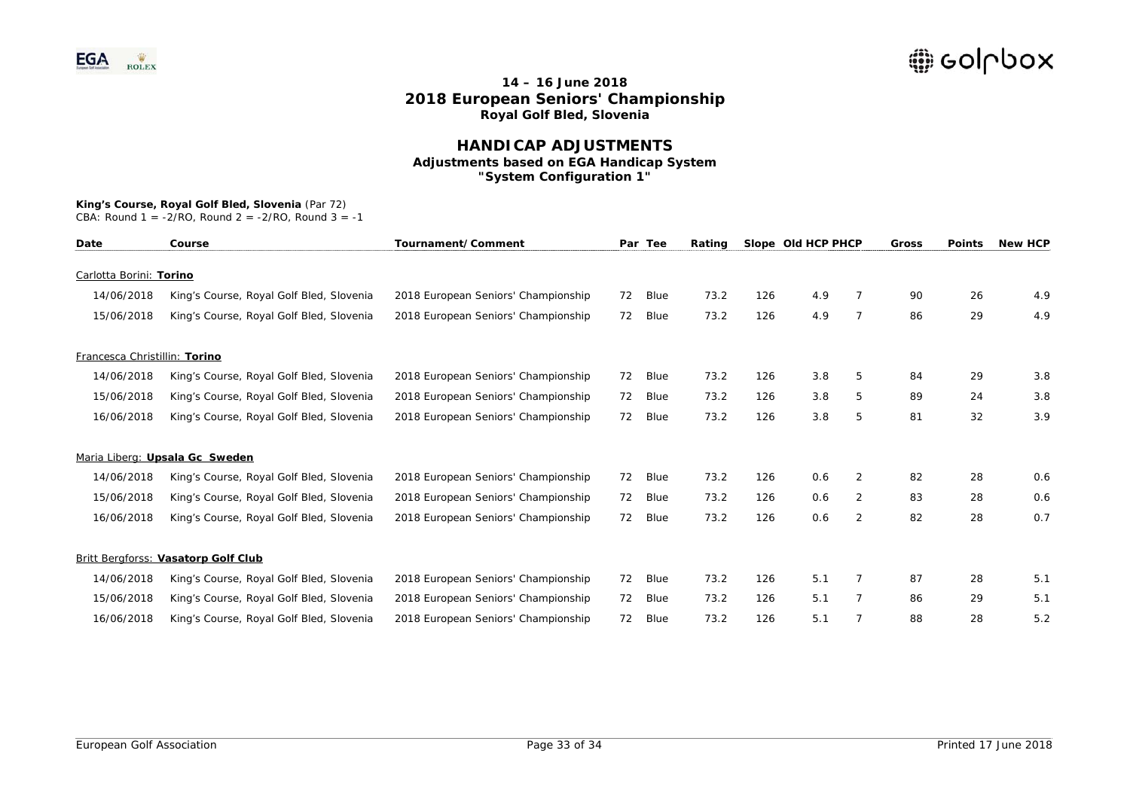### **HANDICAP ADJUSTMENTS Adjustments based on EGA Handicap System "System Configuration 1"**

#### **King's Course, Royal Golf Bled, Slovenia** (Par 72)

| Date                          | Course                                   | Tournament/Comment                  |    | Par Tee | Rating |     | Slope Old HCP PHCP |                | <b>Gross</b> | <b>Points</b> | <b>New HCP</b> |
|-------------------------------|------------------------------------------|-------------------------------------|----|---------|--------|-----|--------------------|----------------|--------------|---------------|----------------|
| Carlotta Borini: Torino       |                                          |                                     |    |         |        |     |                    |                |              |               |                |
| 14/06/2018                    | King's Course, Royal Golf Bled, Slovenia | 2018 European Seniors' Championship | 72 | Blue    | 73.2   | 126 | 4.9                |                | 90           | 26            | 4.9            |
| 15/06/2018                    | King's Course, Royal Golf Bled, Slovenia | 2018 European Seniors' Championship | 72 | Blue    | 73.2   | 126 | 4.9                | $\overline{7}$ | 86           | 29            | 4.9            |
| Francesca Christillin: Torino |                                          |                                     |    |         |        |     |                    |                |              |               |                |
| 14/06/2018                    | King's Course, Royal Golf Bled, Slovenia | 2018 European Seniors' Championship | 72 | Blue    | 73.2   | 126 | 3.8                | 5              | 84           | 29            | 3.8            |
| 15/06/2018                    | King's Course, Royal Golf Bled, Slovenia | 2018 European Seniors' Championship | 72 | Blue    | 73.2   | 126 | 3.8                | 5              | 89           | 24            | 3.8            |
| 16/06/2018                    | King's Course, Royal Golf Bled, Slovenia | 2018 European Seniors' Championship | 72 | Blue    | 73.2   | 126 | 3.8                | 5              | 81           | 32            | 3.9            |
|                               | Maria Liberg: Upsala Gc Sweden           |                                     |    |         |        |     |                    |                |              |               |                |
| 14/06/2018                    | King's Course, Royal Golf Bled, Slovenia | 2018 European Seniors' Championship | 72 | Blue    | 73.2   | 126 | 0.6                | 2              | 82           | 28            | 0.6            |
| 15/06/2018                    | King's Course, Royal Golf Bled, Slovenia | 2018 European Seniors' Championship | 72 | Blue    | 73.2   | 126 | 0.6                | 2              | 83           | 28            | 0.6            |
| 16/06/2018                    | King's Course, Royal Golf Bled, Slovenia | 2018 European Seniors' Championship | 72 | Blue    | 73.2   | 126 | 0.6                | 2              | 82           | 28            | 0.7            |
|                               | Britt Bergforss: Vasatorp Golf Club      |                                     |    |         |        |     |                    |                |              |               |                |
| 14/06/2018                    | King's Course, Royal Golf Bled, Slovenia | 2018 European Seniors' Championship | 72 | Blue    | 73.2   | 126 | 5.1                | $\overline{7}$ | 87           | 28            | 5.1            |
| 15/06/2018                    | King's Course, Royal Golf Bled, Slovenia | 2018 European Seniors' Championship | 72 | Blue    | 73.2   | 126 | 5.1                | $\overline{7}$ | 86           | 29            | 5.1            |
| 16/06/2018                    | King's Course, Royal Golf Bled, Slovenia | 2018 European Seniors' Championship | 72 | Blue    | 73.2   | 126 | 5.1                |                | 88           | 28            | 5.2            |